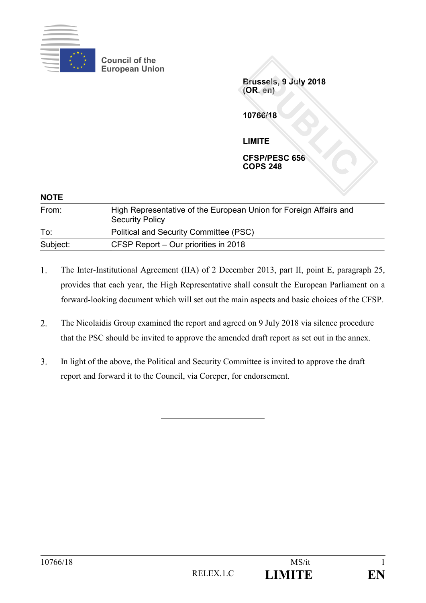

**Council of the European Union**

> **Brussels, 9 July 2018 (OR. en)**

**10766/18**

**LIMITE**

**CFSP/PESC 656 COPS 248**

| <b>NOTE</b> |                                                                                             |
|-------------|---------------------------------------------------------------------------------------------|
| From:       | High Representative of the European Union for Foreign Affairs and<br><b>Security Policy</b> |
| To:         | Political and Security Committee (PSC)                                                      |
| Subject:    | CFSP Report – Our priorities in 2018                                                        |

- 1. The Inter-Institutional Agreement (IIA) of 2 December 2013, part II, point E, paragraph 25, provides that each year, the High Representative shall consult the European Parliament on a forward-looking document which will set out the main aspects and basic choices of the CFSP.
- $2.$ The Nicolaidis Group examined the report and agreed on 9 July 2018 via silence procedure that the PSC should be invited to approve the amended draft report as set out in the annex.
- $3.$ In light of the above, the Political and Security Committee is invited to approve the draft report and forward it to the Council, via Coreper, for endorsement.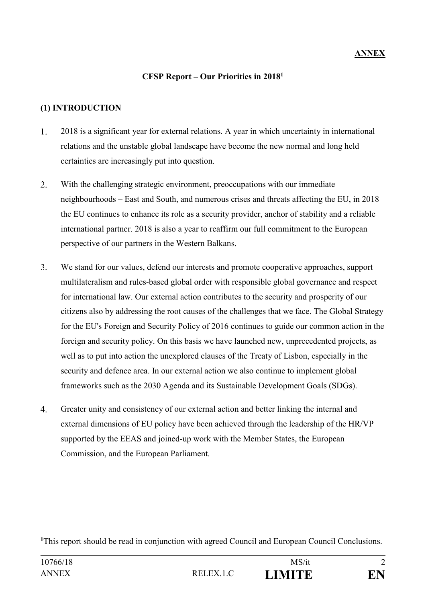#### **CFSP Report – Our Priorities in 2018<sup>1</sup>**

# **(1) INTRODUCTION**

1

- $1.$ 2018 is a significant year for external relations. A year in which uncertainty in international relations and the unstable global landscape have become the new normal and long held certainties are increasingly put into question.
- $2.$ With the challenging strategic environment, preoccupations with our immediate neighbourhoods – East and South, and numerous crises and threats affecting the EU, in 2018 the EU continues to enhance its role as a security provider, anchor of stability and a reliable international partner. 2018 is also a year to reaffirm our full commitment to the European perspective of our partners in the Western Balkans.
- $3.$ We stand for our values, defend our interests and promote cooperative approaches, support multilateralism and rules-based global order with responsible global governance and respect for international law. Our external action contributes to the security and prosperity of our citizens also by addressing the root causes of the challenges that we face. The Global Strategy for the EU's Foreign and Security Policy of 2016 continues to guide our common action in the foreign and security policy. On this basis we have launched new, unprecedented projects, as well as to put into action the unexplored clauses of the Treaty of Lisbon, especially in the security and defence area. In our external action we also continue to implement global frameworks such as the 2030 Agenda and its Sustainable Development Goals (SDGs).
- $\overline{4}$ . Greater unity and consistency of our external action and better linking the internal and external dimensions of EU policy have been achieved through the leadership of the HR/VP supported by the EEAS and joined-up work with the Member States, the European Commission, and the European Parliament.

**<sup>1</sup>**This report should be read in conjunction with agreed Council and European Council Conclusions.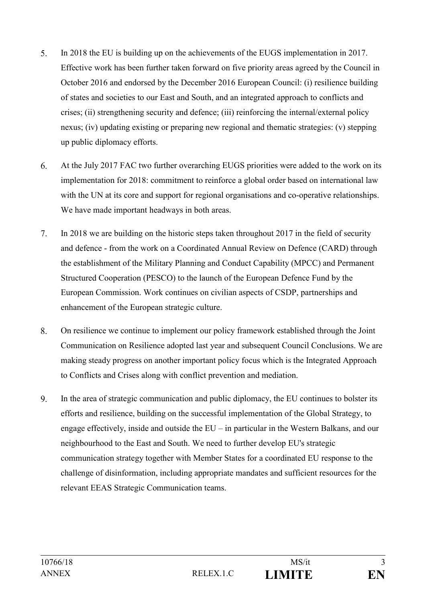- $5<sub>1</sub>$ In 2018 the EU is building up on the achievements of the EUGS implementation in 2017. Effective work has been further taken forward on five priority areas agreed by the Council in October 2016 and endorsed by the December 2016 European Council: (i) resilience building of states and societies to our East and South, and an integrated approach to conflicts and crises; (ii) strengthening security and defence; (iii) reinforcing the internal/external policy nexus; (iv) updating existing or preparing new regional and thematic strategies: (v) stepping up public diplomacy efforts.
- 6. At the July 2017 FAC two further overarching EUGS priorities were added to the work on its implementation for 2018: commitment to reinforce a global order based on international law with the UN at its core and support for regional organisations and co-operative relationships. We have made important headways in both areas.
- $7.$ In 2018 we are building on the historic steps taken throughout 2017 in the field of security and defence - from the work on a Coordinated Annual Review on Defence (CARD) through the establishment of the Military Planning and Conduct Capability (MPCC) and Permanent Structured Cooperation (PESCO) to the launch of the European Defence Fund by the European Commission. Work continues on civilian aspects of CSDP, partnerships and enhancement of the European strategic culture.
- 8. On resilience we continue to implement our policy framework established through the Joint Communication on Resilience adopted last year and subsequent Council Conclusions. We are making steady progress on another important policy focus which is the Integrated Approach to Conflicts and Crises along with conflict prevention and mediation.
- 9. In the area of strategic communication and public diplomacy, the EU continues to bolster its efforts and resilience, building on the successful implementation of the Global Strategy, to engage effectively, inside and outside the  $EU$  – in particular in the Western Balkans, and our neighbourhood to the East and South. We need to further develop EU's strategic communication strategy together with Member States for a coordinated EU response to the challenge of disinformation, including appropriate mandates and sufficient resources for the relevant EEAS Strategic Communication teams.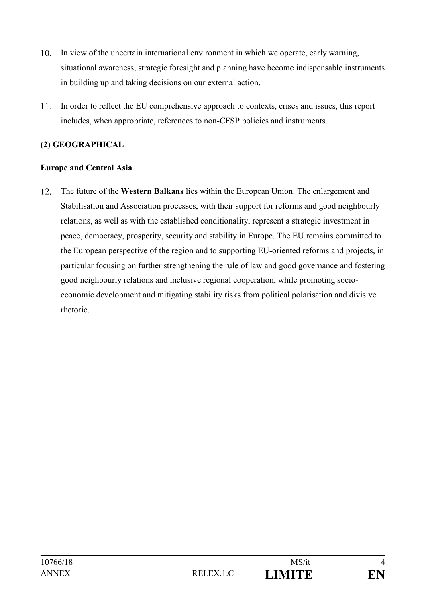- $10.$ In view of the uncertain international environment in which we operate, early warning, situational awareness, strategic foresight and planning have become indispensable instruments in building up and taking decisions on our external action.
- 11. In order to reflect the EU comprehensive approach to contexts, crises and issues, this report includes, when appropriate, references to non-CFSP policies and instruments.

# **(2) GEOGRAPHICAL**

### **Europe and Central Asia**

The future of the **Western Balkans** lies within the European Union. The enlargement and  $12.$ Stabilisation and Association processes, with their support for reforms and good neighbourly relations, as well as with the established conditionality, represent a strategic investment in peace, democracy, prosperity, security and stability in Europe. The EU remains committed to the European perspective of the region and to supporting EU-oriented reforms and projects, in particular focusing on further strengthening the rule of law and good governance and fostering good neighbourly relations and inclusive regional cooperation, while promoting socioeconomic development and mitigating stability risks from political polarisation and divisive rhetoric.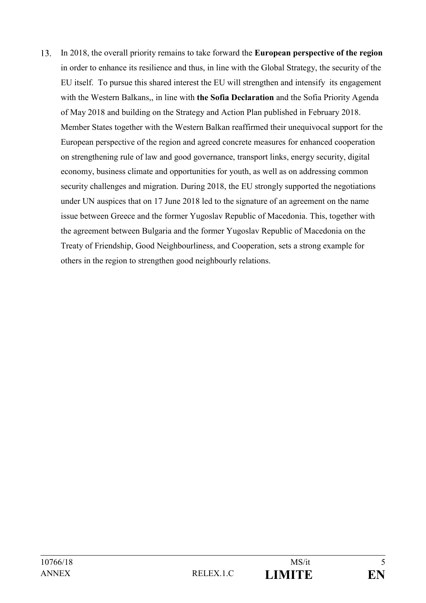13. In 2018, the overall priority remains to take forward the **European perspective of the region** in order to enhance its resilience and thus, in line with the Global Strategy, the security of the EU itself. To pursue this shared interest the EU will strengthen and intensify its engagement with the Western Balkans,, in line with **the Sofia Declaration** and the Sofia Priority Agenda of May 2018 and building on the Strategy and Action Plan published in February 2018. Member States together with the Western Balkan reaffirmed their unequivocal support for the European perspective of the region and agreed concrete measures for enhanced cooperation on strengthening rule of law and good governance, transport links, energy security, digital economy, business climate and opportunities for youth, as well as on addressing common security challenges and migration. During 2018, the EU strongly supported the negotiations under UN auspices that on 17 June 2018 led to the signature of an agreement on the name issue between Greece and the former Yugoslav Republic of Macedonia. This, together with the agreement between Bulgaria and the former Yugoslav Republic of Macedonia on the Treaty of Friendship, Good Neighbourliness, and Cooperation, sets a strong example for others in the region to strengthen good neighbourly relations.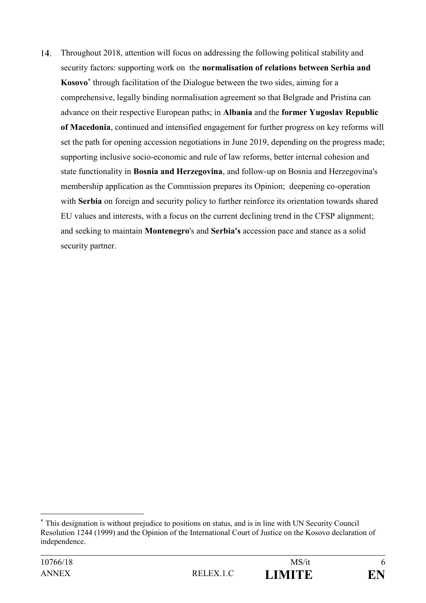14. Throughout 2018, attention will focus on addressing the following political stability and security factors: supporting work on the **normalisation of relations between Serbia and Kosovo\*** through facilitation of the Dialogue between the two sides, aiming for a comprehensive, legally binding normalisation agreement so that Belgrade and Pristina can advance on their respective European paths; in **Albania** and the **former Yugoslav Republic of Macedonia**, continued and intensified engagement for further progress on key reforms will set the path for opening accession negotiations in June 2019, depending on the progress made; supporting inclusive socio-economic and rule of law reforms, better internal cohesion and state functionality in **Bosnia and Herzegovina**, and follow-up on Bosnia and Herzegovina's membership application as the Commission prepares its Opinion; deepening co-operation with **Serbia** on foreign and security policy to further reinforce its orientation towards shared EU values and interests, with a focus on the current declining trend in the CFSP alignment; and seeking to maintain **Montenegro**'s and **Serbia's** accession pace and stance as a solid security partner.

<u>.</u>

**<sup>\*</sup>** This designation is without prejudice to positions on status, and is in line with UN Security Council Resolution 1244 (1999) and the Opinion of the International Court of Justice on the Kosovo declaration of independence.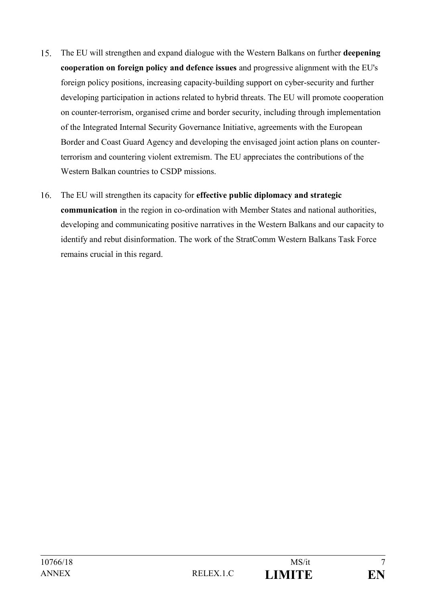- 15. The EU will strengthen and expand dialogue with the Western Balkans on further **deepening cooperation on foreign policy and defence issues** and progressive alignment with the EU's foreign policy positions, increasing capacity-building support on cyber-security and further developing participation in actions related to hybrid threats. The EU will promote cooperation on counter-terrorism, organised crime and border security, including through implementation of the Integrated Internal Security Governance Initiative, agreements with the European Border and Coast Guard Agency and developing the envisaged joint action plans on counterterrorism and countering violent extremism. The EU appreciates the contributions of the Western Balkan countries to CSDP missions.
- $16.$ The EU will strengthen its capacity for **effective public diplomacy and strategic communication** in the region in co-ordination with Member States and national authorities, developing and communicating positive narratives in the Western Balkans and our capacity to identify and rebut disinformation. The work of the StratComm Western Balkans Task Force remains crucial in this regard.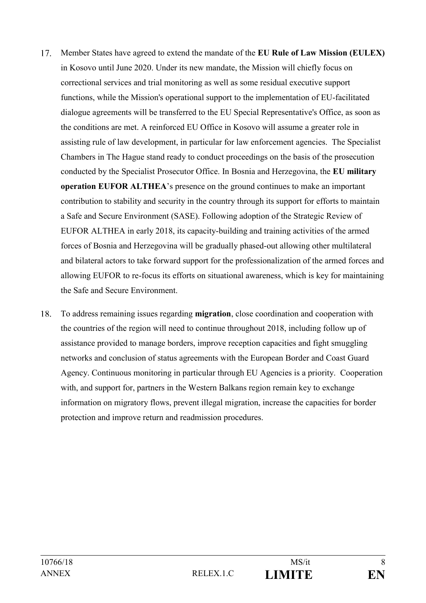- Member States have agreed to extend the mandate of the **EU Rule of Law Mission (EULEX)** 17. in Kosovo until June 2020. Under its new mandate, the Mission will chiefly focus on correctional services and trial monitoring as well as some residual executive support functions, while the Mission's operational support to the implementation of EU-facilitated dialogue agreements will be transferred to the EU Special Representative's Office, as soon as the conditions are met. A reinforced EU Office in Kosovo will assume a greater role in assisting rule of law development, in particular for law enforcement agencies. The Specialist Chambers in The Hague stand ready to conduct proceedings on the basis of the prosecution conducted by the Specialist Prosecutor Office. In Bosnia and Herzegovina, the **EU military operation EUFOR ALTHEA**'s presence on the ground continues to make an important contribution to stability and security in the country through its support for efforts to maintain a Safe and Secure Environment (SASE). Following adoption of the Strategic Review of EUFOR ALTHEA in early 2018, its capacity-building and training activities of the armed forces of Bosnia and Herzegovina will be gradually phased-out allowing other multilateral and bilateral actors to take forward support for the professionalization of the armed forces and allowing EUFOR to re-focus its efforts on situational awareness, which is key for maintaining the Safe and Secure Environment.
- To address remaining issues regarding **migration**, close coordination and cooperation with 18. the countries of the region will need to continue throughout 2018, including follow up of assistance provided to manage borders, improve reception capacities and fight smuggling networks and conclusion of status agreements with the European Border and Coast Guard Agency. Continuous monitoring in particular through EU Agencies is a priority. Cooperation with, and support for, partners in the Western Balkans region remain key to exchange information on migratory flows, prevent illegal migration, increase the capacities for border protection and improve return and readmission procedures.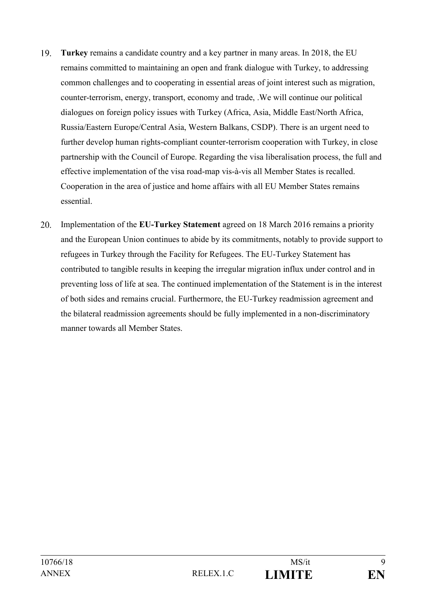- 19. **Turkey** remains a candidate country and a key partner in many areas. In 2018, the EU remains committed to maintaining an open and frank dialogue with Turkey, to addressing common challenges and to cooperating in essential areas of joint interest such as migration, counter-terrorism, energy, transport, economy and trade, .We will continue our political dialogues on foreign policy issues with Turkey (Africa, Asia, Middle East/North Africa, Russia/Eastern Europe/Central Asia, Western Balkans, CSDP). There is an urgent need to further develop human rights-compliant counter-terrorism cooperation with Turkey, in close partnership with the Council of Europe. Regarding the visa liberalisation process, the full and effective implementation of the visa road-map vis-à-vis all Member States is recalled. Cooperation in the area of justice and home affairs with all EU Member States remains essential.
- 20. Implementation of the **EU-Turkey Statement** agreed on 18 March 2016 remains a priority and the European Union continues to abide by its commitments, notably to provide support to refugees in Turkey through the Facility for Refugees. The EU-Turkey Statement has contributed to tangible results in keeping the irregular migration influx under control and in preventing loss of life at sea. The continued implementation of the Statement is in the interest of both sides and remains crucial. Furthermore, the EU-Turkey readmission agreement and the bilateral readmission agreements should be fully implemented in a non-discriminatory manner towards all Member States.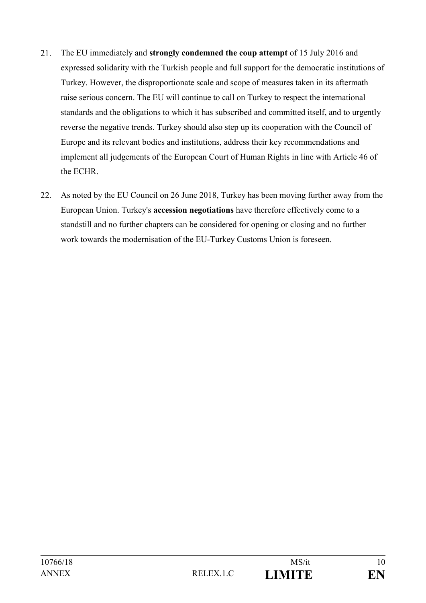- 21. The EU immediately and **strongly condemned the coup attempt** of 15 July 2016 and expressed solidarity with the Turkish people and full support for the democratic institutions of Turkey. However, the disproportionate scale and scope of measures taken in its aftermath raise serious concern. The EU will continue to call on Turkey to respect the international standards and the obligations to which it has subscribed and committed itself, and to urgently reverse the negative trends. Turkey should also step up its cooperation with the Council of Europe and its relevant bodies and institutions, address their key recommendations and implement all judgements of the European Court of Human Rights in line with Article 46 of the ECHR.
- 22. As noted by the EU Council on 26 June 2018, Turkey has been moving further away from the European Union. Turkey's **accession negotiations** have therefore effectively come to a standstill and no further chapters can be considered for opening or closing and no further work towards the modernisation of the EU-Turkey Customs Union is foreseen.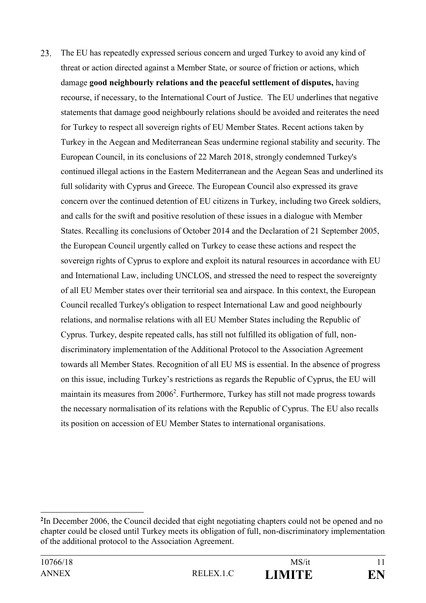23. The EU has repeatedly expressed serious concern and urged Turkey to avoid any kind of threat or action directed against a Member State, or source of friction or actions, which damage **good neighbourly relations and the peaceful settlement of disputes,** having recourse, if necessary, to the International Court of Justice. The EU underlines that negative statements that damage good neighbourly relations should be avoided and reiterates the need for Turkey to respect all sovereign rights of EU Member States. Recent actions taken by Turkey in the Aegean and Mediterranean Seas undermine regional stability and security. The European Council, in its conclusions of 22 March 2018, strongly condemned Turkey's continued illegal actions in the Eastern Mediterranean and the Aegean Seas and underlined its full solidarity with Cyprus and Greece. The European Council also expressed its grave concern over the continued detention of EU citizens in Turkey, including two Greek soldiers, and calls for the swift and positive resolution of these issues in a dialogue with Member States. Recalling its conclusions of October 2014 and the Declaration of 21 September 2005, the European Council urgently called on Turkey to cease these actions and respect the sovereign rights of Cyprus to explore and exploit its natural resources in accordance with EU and International Law, including UNCLOS, and stressed the need to respect the sovereignty of all EU Member states over their territorial sea and airspace. In this context, the European Council recalled Turkey's obligation to respect International Law and good neighbourly relations, and normalise relations with all EU Member States including the Republic of Cyprus. Turkey, despite repeated calls, has still not fulfilled its obligation of full, nondiscriminatory implementation of the Additional Protocol to the Association Agreement towards all Member States. Recognition of all EU MS is essential. In the absence of progress on this issue, including Turkey's restrictions as regards the Republic of Cyprus, the EU will maintain its measures from 2006<sup>2</sup>. Furthermore, Turkey has still not made progress towards the necessary normalisation of its relations with the Republic of Cyprus. The EU also recalls its position on accession of EU Member States to international organisations.

<u>.</u>

**<sup>2</sup>** In December 2006, the Council decided that eight negotiating chapters could not be opened and no chapter could be closed until Turkey meets its obligation of full, non-discriminatory implementation of the additional protocol to the Association Agreement.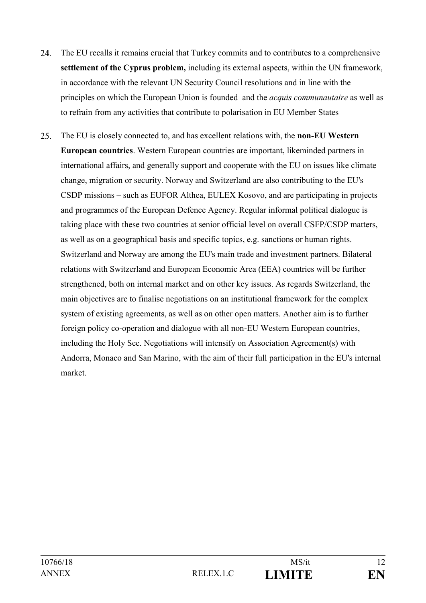- 24. The EU recalls it remains crucial that Turkey commits and to contributes to a comprehensive **settlement of the Cyprus problem,** including its external aspects, within the UN framework, in accordance with the relevant UN Security Council resolutions and in line with the principles on which the European Union is founded and the *acquis communautaire* as well as to refrain from any activities that contribute to polarisation in EU Member States
- 25. The EU is closely connected to, and has excellent relations with, the **non-EU Western European countries**. Western European countries are important, likeminded partners in international affairs, and generally support and cooperate with the EU on issues like climate change, migration or security. Norway and Switzerland are also contributing to the EU's CSDP missions – such as EUFOR Althea, EULEX Kosovo, and are participating in projects and programmes of the European Defence Agency. Regular informal political dialogue is taking place with these two countries at senior official level on overall CSFP/CSDP matters, as well as on a geographical basis and specific topics, e.g. sanctions or human rights. Switzerland and Norway are among the EU's main trade and investment partners. Bilateral relations with Switzerland and European Economic Area (EEA) countries will be further strengthened, both on internal market and on other key issues. As regards Switzerland, the main objectives are to finalise negotiations on an institutional framework for the complex system of existing agreements, as well as on other open matters. Another aim is to further foreign policy co-operation and dialogue with all non-EU Western European countries, including the Holy See. Negotiations will intensify on Association Agreement(s) with Andorra, Monaco and San Marino, with the aim of their full participation in the EU's internal market.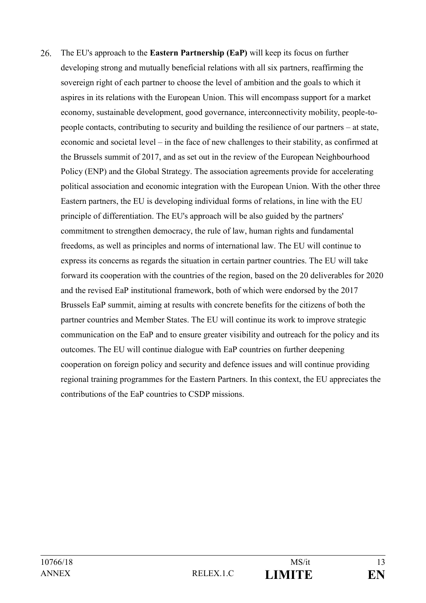26. The EU's approach to the **Eastern Partnership (EaP)** will keep its focus on further developing strong and mutually beneficial relations with all six partners, reaffirming the sovereign right of each partner to choose the level of ambition and the goals to which it aspires in its relations with the European Union. This will encompass support for a market economy, sustainable development, good governance, interconnectivity mobility, people-topeople contacts, contributing to security and building the resilience of our partners – at state, economic and societal level – in the face of new challenges to their stability, as confirmed at the Brussels summit of 2017, and as set out in the review of the European Neighbourhood Policy (ENP) and the Global Strategy. The association agreements provide for accelerating political association and economic integration with the European Union. With the other three Eastern partners, the EU is developing individual forms of relations, in line with the EU principle of differentiation. The EU's approach will be also guided by the partners' commitment to strengthen democracy, the rule of law, human rights and fundamental freedoms, as well as principles and norms of international law. The EU will continue to express its concerns as regards the situation in certain partner countries. The EU will take forward its cooperation with the countries of the region, based on the 20 deliverables for 2020 and the revised EaP institutional framework, both of which were endorsed by the 2017 Brussels EaP summit, aiming at results with concrete benefits for the citizens of both the partner countries and Member States. The EU will continue its work to improve strategic communication on the EaP and to ensure greater visibility and outreach for the policy and its outcomes. The EU will continue dialogue with EaP countries on further deepening cooperation on foreign policy and security and defence issues and will continue providing regional training programmes for the Eastern Partners. In this context, the EU appreciates the contributions of the EaP countries to CSDP missions.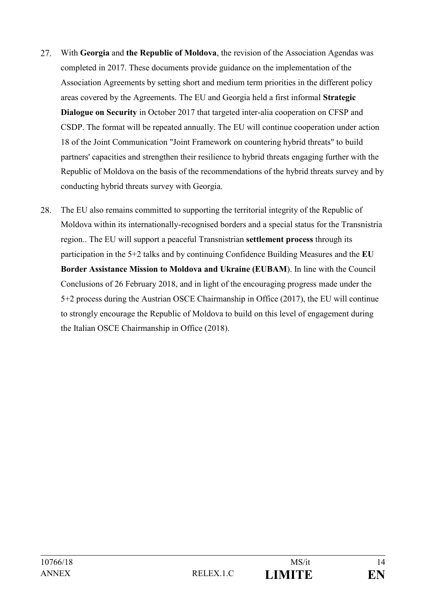- 27. With **Georgia** and **the Republic of Moldova**, the revision of the Association Agendas was completed in 2017. These documents provide guidance on the implementation of the Association Agreements by setting short and medium term priorities in the different policy areas covered by the Agreements. The EU and Georgia held a first informal **Strategic Dialogue on Security** in October 2017 that targeted inter-alia cooperation on CFSP and CSDP. The format will be repeated annually. The EU will continue cooperation under action 18 of the Joint Communication "Joint Framework on countering hybrid threats" to build partners' capacities and strengthen their resilience to hybrid threats engaging further with the Republic of Moldova on the basis of the recommendations of the hybrid threats survey and by conducting hybrid threats survey with Georgia.
- 28. The EU also remains committed to supporting the territorial integrity of the Republic of Moldova within its internationally-recognised borders and a special status for the Transnistria region.. The EU will support a peaceful Transnistrian **settlement process** through its participation in the 5+2 talks and by continuing Confidence Building Measures and the **EU Border Assistance Mission to Moldova and Ukraine (EUBAM**). In line with the Council Conclusions of 26 February 2018, and in light of the encouraging progress made under the 5+2 process during the Austrian OSCE Chairmanship in Office (2017), the EU will continue to strongly encourage the Republic of Moldova to build on this level of engagement during the Italian OSCE Chairmanship in Office (2018).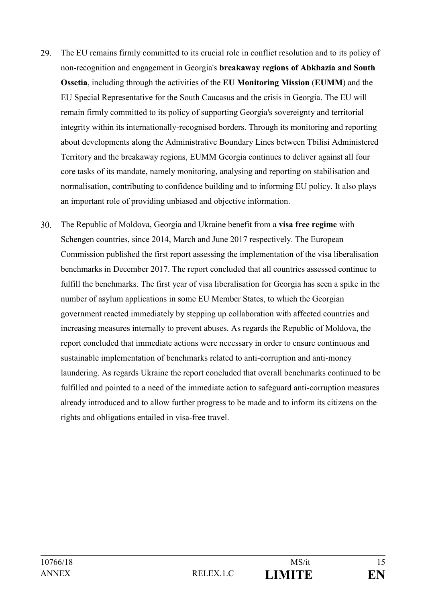- 29. The EU remains firmly committed to its crucial role in conflict resolution and to its policy of non-recognition and engagement in Georgia's **breakaway regions of Abkhazia and South Ossetia**, including through the activities of the **EU Monitoring Mission** (**EUMM**) and the EU Special Representative for the South Caucasus and the crisis in Georgia. The EU will remain firmly committed to its policy of supporting Georgia's sovereignty and territorial integrity within its internationally-recognised borders. Through its monitoring and reporting about developments along the Administrative Boundary Lines between Tbilisi Administered Territory and the breakaway regions, EUMM Georgia continues to deliver against all four core tasks of its mandate, namely monitoring, analysing and reporting on stabilisation and normalisation, contributing to confidence building and to informing EU policy. It also plays an important role of providing unbiased and objective information.
- $30<sub>1</sub>$ The Republic of Moldova, Georgia and Ukraine benefit from a **visa free regime** with Schengen countries, since 2014, March and June 2017 respectively. The European Commission published the first report assessing the implementation of the visa liberalisation benchmarks in December 2017. The report concluded that all countries assessed continue to fulfill the benchmarks. The first year of visa liberalisation for Georgia has seen a spike in the number of asylum applications in some EU Member States, to which the Georgian government reacted immediately by stepping up collaboration with affected countries and increasing measures internally to prevent abuses. As regards the Republic of Moldova, the report concluded that immediate actions were necessary in order to ensure continuous and sustainable implementation of benchmarks related to anti-corruption and anti-money laundering. As regards Ukraine the report concluded that overall benchmarks continued to be fulfilled and pointed to a need of the immediate action to safeguard anti-corruption measures already introduced and to allow further progress to be made and to inform its citizens on the rights and obligations entailed in visa-free travel.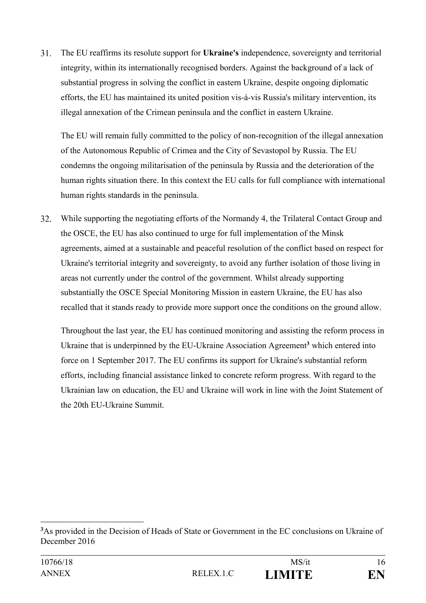$31.$ The EU reaffirms its resolute support for **Ukraine's** independence, sovereignty and territorial integrity, within its internationally recognised borders. Against the background of a lack of substantial progress in solving the conflict in eastern Ukraine, despite ongoing diplomatic efforts, the EU has maintained its united position vis-à-vis Russia's military intervention, its illegal annexation of the Crimean peninsula and the conflict in eastern Ukraine.

The EU will remain fully committed to the policy of non-recognition of the illegal annexation of the Autonomous Republic of Crimea and the City of Sevastopol by Russia. The EU condemns the ongoing militarisation of the peninsula by Russia and the deterioration of the human rights situation there. In this context the EU calls for full compliance with international human rights standards in the peninsula.

32. While supporting the negotiating efforts of the Normandy 4, the Trilateral Contact Group and the OSCE, the EU has also continued to urge for full implementation of the Minsk agreements, aimed at a sustainable and peaceful resolution of the conflict based on respect for Ukraine's territorial integrity and sovereignty, to avoid any further isolation of those living in areas not currently under the control of the government. Whilst already supporting substantially the OSCE Special Monitoring Mission in eastern Ukraine, the EU has also recalled that it stands ready to provide more support once the conditions on the ground allow.

Throughout the last year, the EU has continued monitoring and assisting the reform process in Ukraine that is underpinned by the EU-Ukraine Association Agreement**<sup>3</sup>** which entered into force on 1 September 2017. The EU confirms its support for Ukraine's substantial reform efforts, including financial assistance linked to concrete reform progress. With regard to the Ukrainian law on education, the EU and Ukraine will work in line with the Joint Statement of the 20th EU-Ukraine Summit.

<u>.</u>

**<sup>3</sup>**As provided in the Decision of Heads of State or Government in the EC conclusions on Ukraine of December 2016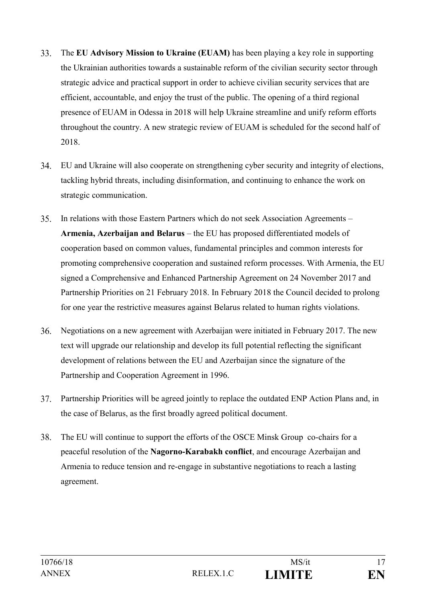- 33. The **EU Advisory Mission to Ukraine (EUAM)** has been playing a key role in supporting the Ukrainian authorities towards a sustainable reform of the civilian security sector through strategic advice and practical support in order to achieve civilian security services that are efficient, accountable, and enjoy the trust of the public. The opening of a third regional presence of EUAM in Odessa in 2018 will help Ukraine streamline and unify reform efforts throughout the country. A new strategic review of EUAM is scheduled for the second half of 2018.
- **34.** EU and Ukraine will also cooperate on strengthening cyber security and integrity of elections, tackling hybrid threats, including disinformation, and continuing to enhance the work on strategic communication.
- 35. In relations with those Eastern Partners which do not seek Association Agreements – **Armenia, Azerbaijan and Belarus** – the EU has proposed differentiated models of cooperation based on common values, fundamental principles and common interests for promoting comprehensive cooperation and sustained reform processes. With Armenia, the EU signed a Comprehensive and Enhanced Partnership Agreement on 24 November 2017 and Partnership Priorities on 21 February 2018. In February 2018 the Council decided to prolong for one year the restrictive measures against Belarus related to human rights violations.
- Negotiations on a new agreement with Azerbaijan were initiated in February 2017. The new 36. text will upgrade our relationship and develop its full potential reflecting the significant development of relations between the EU and Azerbaijan since the signature of the Partnership and Cooperation Agreement in 1996.
- Partnership Priorities will be agreed jointly to replace the outdated ENP Action Plans and, in 37. the case of Belarus, as the first broadly agreed political document.
- 38. The EU will continue to support the efforts of the OSCE Minsk Group co-chairs for a peaceful resolution of the **Nagorno-Karabakh conflict**, and encourage Azerbaijan and Armenia to reduce tension and re-engage in substantive negotiations to reach a lasting agreement.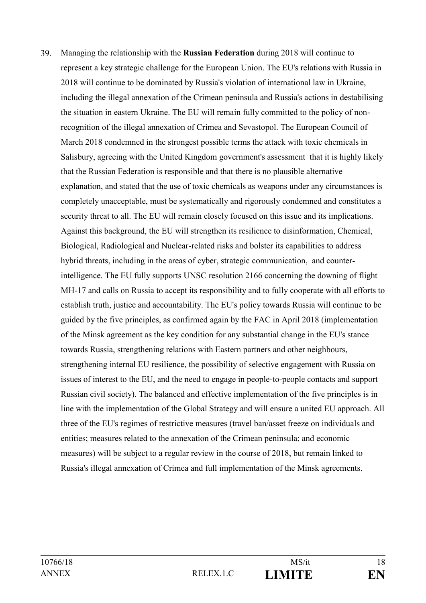39. Managing the relationship with the **Russian Federation** during 2018 will continue to represent a key strategic challenge for the European Union. The EU's relations with Russia in 2018 will continue to be dominated by Russia's violation of international law in Ukraine, including the illegal annexation of the Crimean peninsula and Russia's actions in destabilising the situation in eastern Ukraine. The EU will remain fully committed to the policy of nonrecognition of the illegal annexation of Crimea and Sevastopol. The European Council of March 2018 condemned in the strongest possible terms the attack with toxic chemicals in Salisbury, agreeing with the United Kingdom government's assessment that it is highly likely that the Russian Federation is responsible and that there is no plausible alternative explanation, and stated that the use of toxic chemicals as weapons under any circumstances is completely unacceptable, must be systematically and rigorously condemned and constitutes a security threat to all. The EU will remain closely focused on this issue and its implications. Against this background, the EU will strengthen its resilience to disinformation, Chemical, Biological, Radiological and Nuclear-related risks and bolster its capabilities to address hybrid threats, including in the areas of cyber, strategic communication, and counterintelligence. The EU fully supports UNSC resolution 2166 concerning the downing of flight MH-17 and calls on Russia to accept its responsibility and to fully cooperate with all efforts to establish truth, justice and accountability. The EU's policy towards Russia will continue to be guided by the five principles, as confirmed again by the FAC in April 2018 (implementation of the Minsk agreement as the key condition for any substantial change in the EU's stance towards Russia, strengthening relations with Eastern partners and other neighbours, strengthening internal EU resilience, the possibility of selective engagement with Russia on issues of interest to the EU, and the need to engage in people-to-people contacts and support Russian civil society). The balanced and effective implementation of the five principles is in line with the implementation of the Global Strategy and will ensure a united EU approach. All three of the EU's regimes of restrictive measures (travel ban/asset freeze on individuals and entities; measures related to the annexation of the Crimean peninsula; and economic measures) will be subject to a regular review in the course of 2018, but remain linked to Russia's illegal annexation of Crimea and full implementation of the Minsk agreements.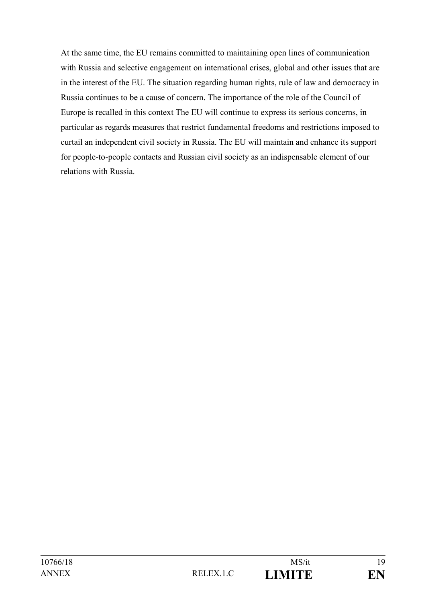At the same time, the EU remains committed to maintaining open lines of communication with Russia and selective engagement on international crises, global and other issues that are in the interest of the EU. The situation regarding human rights, rule of law and democracy in Russia continues to be a cause of concern. The importance of the role of the Council of Europe is recalled in this context The EU will continue to express its serious concerns, in particular as regards measures that restrict fundamental freedoms and restrictions imposed to curtail an independent civil society in Russia. The EU will maintain and enhance its support for people-to-people contacts and Russian civil society as an indispensable element of our relations with Russia.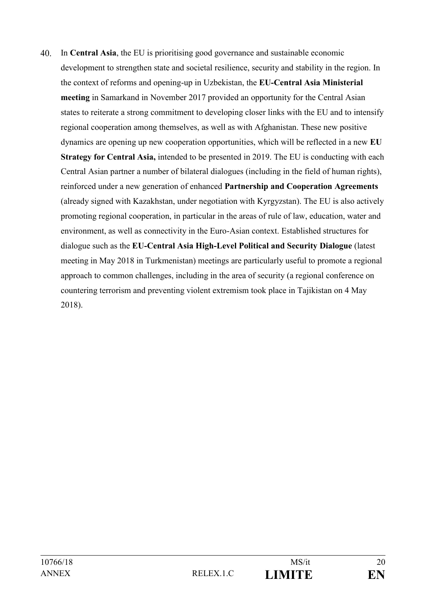$40<sup>1</sup>$ In **Central Asia**, the EU is prioritising good governance and sustainable economic development to strengthen state and societal resilience, security and stability in the region. In the context of reforms and opening-up in Uzbekistan, the **EU-Central Asia Ministerial meeting** in Samarkand in November 2017 provided an opportunity for the Central Asian states to reiterate a strong commitment to developing closer links with the EU and to intensify regional cooperation among themselves, as well as with Afghanistan. These new positive dynamics are opening up new cooperation opportunities, which will be reflected in a new **EU Strategy for Central Asia,** intended to be presented in 2019. The EU is conducting with each Central Asian partner a number of bilateral dialogues (including in the field of human rights), reinforced under a new generation of enhanced **Partnership and Cooperation Agreements** (already signed with Kazakhstan, under negotiation with Kyrgyzstan). The EU is also actively promoting regional cooperation, in particular in the areas of rule of law, education, water and environment, as well as connectivity in the Euro-Asian context. Established structures for dialogue such as the **EU-Central Asia High-Level Political and Security Dialogue** (latest meeting in May 2018 in Turkmenistan) meetings are particularly useful to promote a regional approach to common challenges, including in the area of security (a regional conference on countering terrorism and preventing violent extremism took place in Tajikistan on 4 May 2018).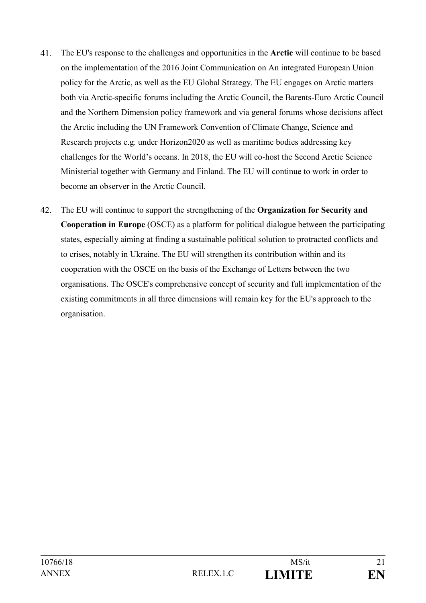- 41. The EU's response to the challenges and opportunities in the **Arctic** will continue to be based on the implementation of the 2016 Joint Communication on An integrated European Union policy for the Arctic, as well as the EU Global Strategy. The EU engages on Arctic matters both via Arctic-specific forums including the Arctic Council, the Barents-Euro Arctic Council and the Northern Dimension policy framework and via general forums whose decisions affect the Arctic including the UN Framework Convention of Climate Change, Science and Research projects e.g. under Horizon2020 as well as maritime bodies addressing key challenges for the World's oceans. In 2018, the EU will co-host the Second Arctic Science Ministerial together with Germany and Finland. The EU will continue to work in order to become an observer in the Arctic Council.
- 42. The EU will continue to support the strengthening of the **Organization for Security and Cooperation in Europe** (OSCE) as a platform for political dialogue between the participating states, especially aiming at finding a sustainable political solution to protracted conflicts and to crises, notably in Ukraine. The EU will strengthen its contribution within and its cooperation with the OSCE on the basis of the Exchange of Letters between the two organisations. The OSCE's comprehensive concept of security and full implementation of the existing commitments in all three dimensions will remain key for the EU's approach to the organisation.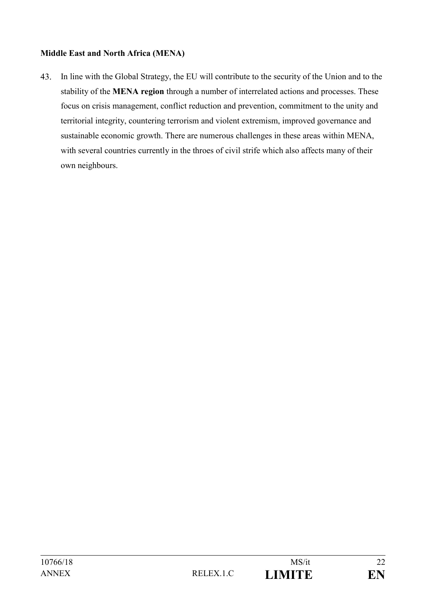# **Middle East and North Africa (MENA)**

43. In line with the Global Strategy, the EU will contribute to the security of the Union and to the stability of the **MENA region** through a number of interrelated actions and processes. These focus on crisis management, conflict reduction and prevention, commitment to the unity and territorial integrity, countering terrorism and violent extremism, improved governance and sustainable economic growth. There are numerous challenges in these areas within MENA, with several countries currently in the throes of civil strife which also affects many of their own neighbours.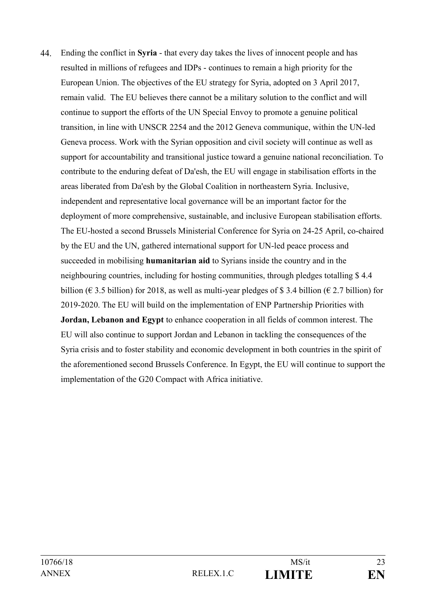$44$ Ending the conflict in **Syria** - that every day takes the lives of innocent people and has resulted in millions of refugees and IDPs - continues to remain a high priority for the European Union. The objectives of the EU strategy for Syria, adopted on 3 April 2017, remain valid. The EU believes there cannot be a military solution to the conflict and will continue to support the efforts of the UN Special Envoy to promote a genuine political transition, in line with UNSCR 2254 and the 2012 Geneva communique, within the UN-led Geneva process. Work with the Syrian opposition and civil society will continue as well as support for accountability and transitional justice toward a genuine national reconciliation. To contribute to the enduring defeat of Da'esh, the EU will engage in stabilisation efforts in the areas liberated from Da'esh by the Global Coalition in northeastern Syria. Inclusive, independent and representative local governance will be an important factor for the deployment of more comprehensive, sustainable, and inclusive European stabilisation efforts. The EU-hosted a second Brussels Ministerial Conference for Syria on 24-25 April, co-chaired by the EU and the UN, gathered international support for UN-led peace process and succeeded in mobilising **humanitarian aid** to Syrians inside the country and in the neighbouring countries, including for hosting communities, through pledges totalling \$ 4.4 billion ( $\epsilon$  3.5 billion) for 2018, as well as multi-year pledges of \$3.4 billion ( $\epsilon$  2.7 billion) for 2019-2020. The EU will build on the implementation of ENP Partnership Priorities with **Jordan, Lebanon and Egypt** to enhance cooperation in all fields of common interest. The EU will also continue to support Jordan and Lebanon in tackling the consequences of the Syria crisis and to foster stability and economic development in both countries in the spirit of the aforementioned second Brussels Conference. In Egypt, the EU will continue to support the implementation of the G20 Compact with Africa initiative.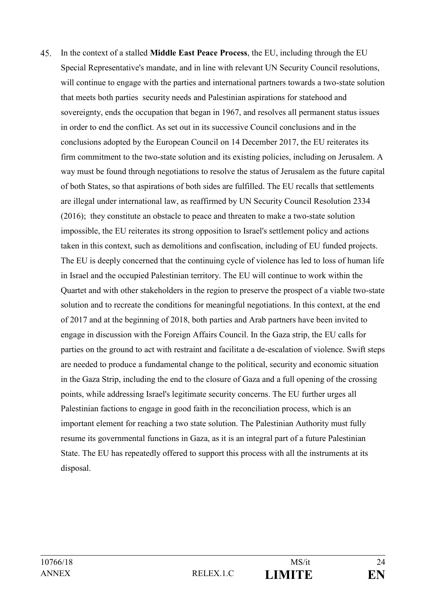$45<sub>1</sub>$ In the context of a stalled **Middle East Peace Process**, the EU, including through the EU Special Representative's mandate, and in line with relevant UN Security Council resolutions, will continue to engage with the parties and international partners towards a two-state solution that meets both parties security needs and Palestinian aspirations for statehood and sovereignty, ends the occupation that began in 1967, and resolves all permanent status issues in order to end the conflict. As set out in its successive Council conclusions and in the conclusions adopted by the European Council on 14 December 2017, the EU reiterates its firm commitment to the two-state solution and its existing policies, including on Jerusalem. A way must be found through negotiations to resolve the status of Jerusalem as the future capital of both States, so that aspirations of both sides are fulfilled. The EU recalls that settlements are illegal under international law, as reaffirmed by UN Security Council Resolution 2334 (2016); they constitute an obstacle to peace and threaten to make a two-state solution impossible, the EU reiterates its strong opposition to Israel's settlement policy and actions taken in this context, such as demolitions and confiscation, including of EU funded projects. The EU is deeply concerned that the continuing cycle of violence has led to loss of human life in Israel and the occupied Palestinian territory. The EU will continue to work within the Quartet and with other stakeholders in the region to preserve the prospect of a viable two-state solution and to recreate the conditions for meaningful negotiations. In this context, at the end of 2017 and at the beginning of 2018, both parties and Arab partners have been invited to engage in discussion with the Foreign Affairs Council. In the Gaza strip, the EU calls for parties on the ground to act with restraint and facilitate a de-escalation of violence. Swift steps are needed to produce a fundamental change to the political, security and economic situation in the Gaza Strip, including the end to the closure of Gaza and a full opening of the crossing points, while addressing Israel's legitimate security concerns. The EU further urges all Palestinian factions to engage in good faith in the reconciliation process, which is an important element for reaching a two state solution. The Palestinian Authority must fully resume its governmental functions in Gaza, as it is an integral part of a future Palestinian State. The EU has repeatedly offered to support this process with all the instruments at its disposal.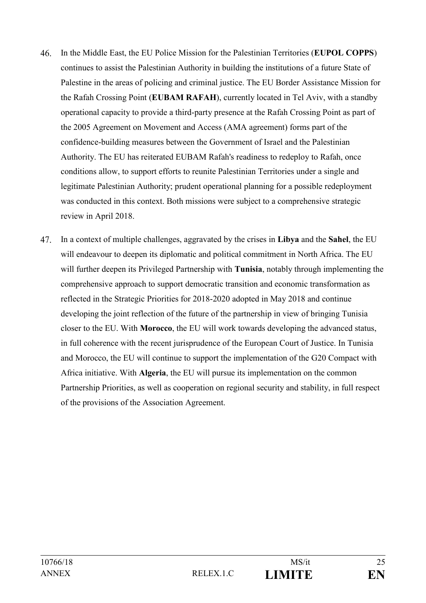- $46<sup>2</sup>$ In the Middle East, the EU Police Mission for the Palestinian Territories (**EUPOL COPPS**) continues to assist the Palestinian Authority in building the institutions of a future State of Palestine in the areas of policing and criminal justice. The EU Border Assistance Mission for the Rafah Crossing Point (**EUBAM RAFAH**), currently located in Tel Aviv, with a standby operational capacity to provide a third-party presence at the Rafah Crossing Point as part of the 2005 Agreement on Movement and Access (AMA agreement) forms part of the confidence-building measures between the Government of Israel and the Palestinian Authority. The EU has reiterated EUBAM Rafah's readiness to redeploy to Rafah, once conditions allow, to support efforts to reunite Palestinian Territories under a single and legitimate Palestinian Authority; prudent operational planning for a possible redeployment was conducted in this context. Both missions were subject to a comprehensive strategic review in April 2018.
- 47. In a context of multiple challenges, aggravated by the crises in **Libya** and the **Sahel**, the EU will endeavour to deepen its diplomatic and political commitment in North Africa. The EU will further deepen its Privileged Partnership with **Tunisia**, notably through implementing the comprehensive approach to support democratic transition and economic transformation as reflected in the Strategic Priorities for 2018-2020 adopted in May 2018 and continue developing the joint reflection of the future of the partnership in view of bringing Tunisia closer to the EU. With **Morocco**, the EU will work towards developing the advanced status, in full coherence with the recent jurisprudence of the European Court of Justice. In Tunisia and Morocco, the EU will continue to support the implementation of the G20 Compact with Africa initiative. With **Algeria**, the EU will pursue its implementation on the common Partnership Priorities, as well as cooperation on regional security and stability, in full respect of the provisions of the Association Agreement.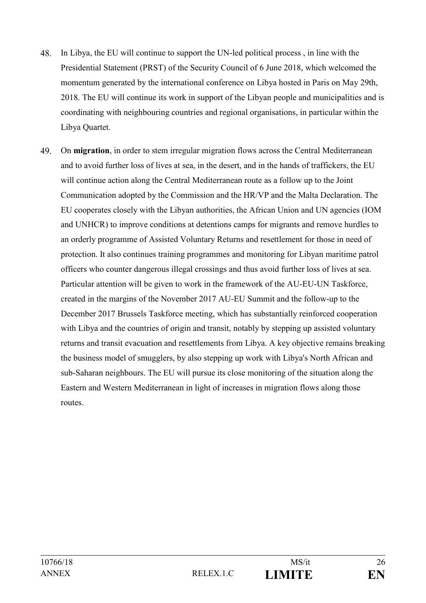- 48. In Libya, the EU will continue to support the UN-led political process , in line with the Presidential Statement (PRST) of the Security Council of 6 June 2018, which welcomed the momentum generated by the international conference on Libya hosted in Paris on May 29th, 2018. The EU will continue its work in support of the Libyan people and municipalities and is coordinating with neighbouring countries and regional organisations, in particular within the Libya Quartet.
- 49. On **migration**, in order to stem irregular migration flows across the Central Mediterranean and to avoid further loss of lives at sea, in the desert, and in the hands of traffickers, the EU will continue action along the Central Mediterranean route as a follow up to the Joint Communication adopted by the Commission and the HR/VP and the Malta Declaration. The EU cooperates closely with the Libyan authorities, the African Union and UN agencies (IOM and UNHCR) to improve conditions at detentions camps for migrants and remove hurdles to an orderly programme of Assisted Voluntary Returns and resettlement for those in need of protection. It also continues training programmes and monitoring for Libyan maritime patrol officers who counter dangerous illegal crossings and thus avoid further loss of lives at sea. Particular attention will be given to work in the framework of the AU-EU-UN Taskforce, created in the margins of the November 2017 AU-EU Summit and the follow-up to the December 2017 Brussels Taskforce meeting, which has substantially reinforced cooperation with Libya and the countries of origin and transit, notably by stepping up assisted voluntary returns and transit evacuation and resettlements from Libya. A key objective remains breaking the business model of smugglers, by also stepping up work with Libya's North African and sub-Saharan neighbours. The EU will pursue its close monitoring of the situation along the Eastern and Western Mediterranean in light of increases in migration flows along those routes.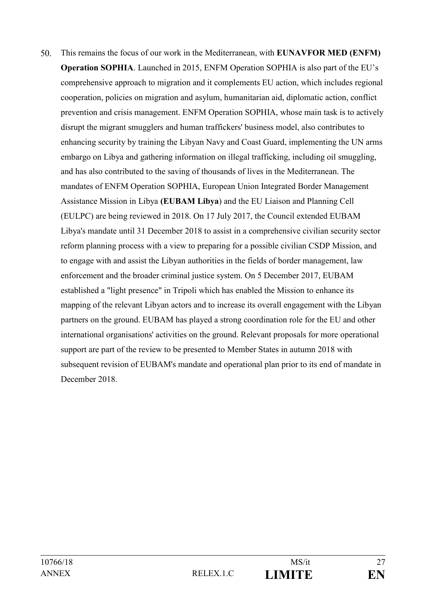$50<sub>1</sub>$ This remains the focus of our work in the Mediterranean, with **EUNAVFOR MED (ENFM) Operation SOPHIA**. Launched in 2015, ENFM Operation SOPHIA is also part of the EU's comprehensive approach to migration and it complements EU action, which includes regional cooperation, policies on migration and asylum, humanitarian aid, diplomatic action, conflict prevention and crisis management. ENFM Operation SOPHIA, whose main task is to actively disrupt the migrant smugglers and human traffickers' business model, also contributes to enhancing security by training the Libyan Navy and Coast Guard, implementing the UN arms embargo on Libya and gathering information on illegal trafficking, including oil smuggling, and has also contributed to the saving of thousands of lives in the Mediterranean. The mandates of ENFM Operation SOPHIA, European Union Integrated Border Management Assistance Mission in Libya **(EUBAM Libya**) and the EU Liaison and Planning Cell (EULPC) are being reviewed in 2018. On 17 July 2017, the Council extended EUBAM Libya's mandate until 31 December 2018 to assist in a comprehensive civilian security sector reform planning process with a view to preparing for a possible civilian CSDP Mission, and to engage with and assist the Libyan authorities in the fields of border management, law enforcement and the broader criminal justice system. On 5 December 2017, EUBAM established a "light presence" in Tripoli which has enabled the Mission to enhance its mapping of the relevant Libyan actors and to increase its overall engagement with the Libyan partners on the ground. EUBAM has played a strong coordination role for the EU and other international organisations' activities on the ground. Relevant proposals for more operational support are part of the review to be presented to Member States in autumn 2018 with subsequent revision of EUBAM's mandate and operational plan prior to its end of mandate in December 2018.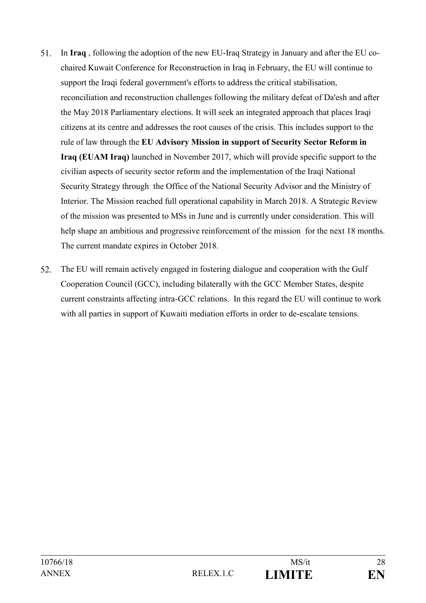- 51. In **Iraq** , following the adoption of the new EU-Iraq Strategy in January and after the EU cochaired Kuwait Conference for Reconstruction in Iraq in February, the EU will continue to support the Iraqi federal government's efforts to address the critical stabilisation, reconciliation and reconstruction challenges following the military defeat of Da'esh and after the May 2018 Parliamentary elections. It will seek an integrated approach that places Iraqi citizens at its centre and addresses the root causes of the crisis. This includes support to the rule of law through the **EU Advisory Mission in support of Security Sector Reform in Iraq (EUAM Iraq)** launched in November 2017, which will provide specific support to the civilian aspects of security sector reform and the implementation of the Iraqi National Security Strategy through the Office of the National Security Advisor and the Ministry of Interior. The Mission reached full operational capability in March 2018. A Strategic Review of the mission was presented to MSs in June and is currently under consideration. This will help shape an ambitious and progressive reinforcement of the mission for the next 18 months. The current mandate expires in October 2018.
- 52. The EU will remain actively engaged in fostering dialogue and cooperation with the Gulf Cooperation Council (GCC), including bilaterally with the GCC Member States, despite current constraints affecting intra-GCC relations. In this regard the EU will continue to work with all parties in support of Kuwaiti mediation efforts in order to de-escalate tensions.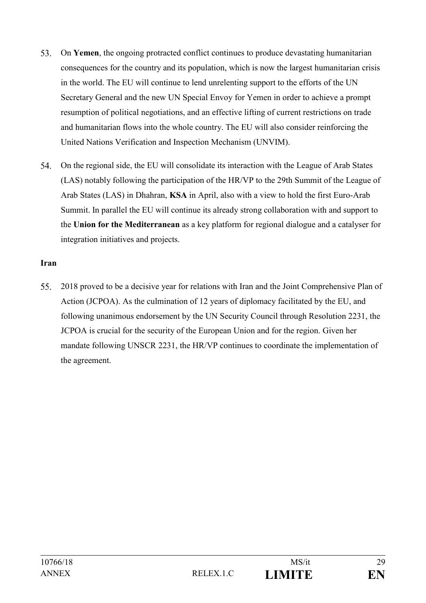- 53. On **Yemen**, the ongoing protracted conflict continues to produce devastating humanitarian consequences for the country and its population, which is now the largest humanitarian crisis in the world. The EU will continue to lend unrelenting support to the efforts of the UN Secretary General and the new UN Special Envoy for Yemen in order to achieve a prompt resumption of political negotiations, and an effective lifting of current restrictions on trade and humanitarian flows into the whole country. The EU will also consider reinforcing the United Nations Verification and Inspection Mechanism (UNVIM).
- 54. On the regional side, the EU will consolidate its interaction with the League of Arab States (LAS) notably following the participation of the HR/VP to the 29th Summit of the League of Arab States (LAS) in Dhahran, **KSA** in April, also with a view to hold the first Euro-Arab Summit. In parallel the EU will continue its already strong collaboration with and support to the **Union for the Mediterranean** as a key platform for regional dialogue and a catalyser for integration initiatives and projects.

### **Iran**

55. 2018 proved to be a decisive year for relations with Iran and the Joint Comprehensive Plan of Action (JCPOA). As the culmination of 12 years of diplomacy facilitated by the EU, and following unanimous endorsement by the UN Security Council through Resolution 2231, the JCPOA is crucial for the security of the European Union and for the region. Given her mandate following UNSCR 2231, the HR/VP continues to coordinate the implementation of the agreement.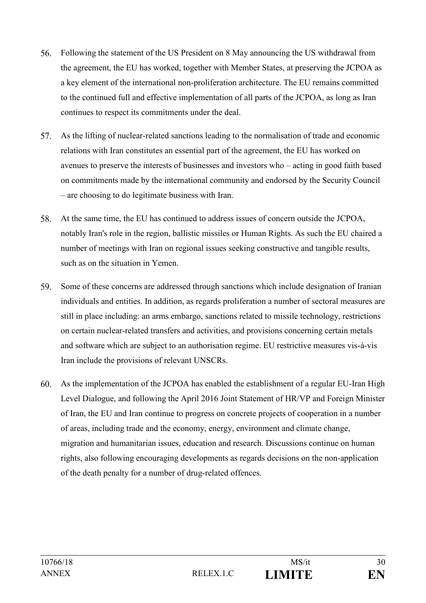- 56. Following the statement of the US President on 8 May announcing the US withdrawal from the agreement, the EU has worked, together with Member States, at preserving the JCPOA as a key element of the international non-proliferation architecture. The EU remains committed to the continued full and effective implementation of all parts of the JCPOA, as long as Iran continues to respect its commitments under the deal.
- 57. As the lifting of nuclear-related sanctions leading to the normalisation of trade and economic relations with Iran constitutes an essential part of the agreement, the EU has worked on avenues to preserve the interests of businesses and investors who – acting in good faith based on commitments made by the international community and endorsed by the Security Council – are choosing to do legitimate business with Iran.
- 58. At the same time, the EU has continued to address issues of concern outside the JCPOA, notably Iran's role in the region, ballistic missiles or Human Rights. As such the EU chaired a number of meetings with Iran on regional issues seeking constructive and tangible results, such as on the situation in Yemen.
- 59. Some of these concerns are addressed through sanctions which include designation of Iranian individuals and entities. In addition, as regards proliferation a number of sectoral measures are still in place including: an arms embargo, sanctions related to missile technology, restrictions on certain nuclear-related transfers and activities, and provisions concerning certain metals and software which are subject to an authorisation regime. EU restrictive measures vis-à-vis Iran include the provisions of relevant UNSCRs.
- $60<sub>1</sub>$ As the implementation of the JCPOA has enabled the establishment of a regular EU-Iran High Level Dialogue, and following the April 2016 Joint Statement of HR/VP and Foreign Minister of Iran, the EU and Iran continue to progress on concrete projects of cooperation in a number of areas, including trade and the economy, energy, environment and climate change, migration and humanitarian issues, education and research. Discussions continue on human rights, also following encouraging developments as regards decisions on the non-application of the death penalty for a number of drug-related offences.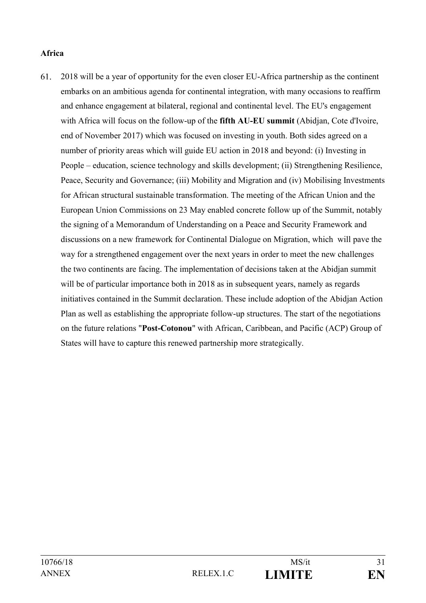#### **Africa**

2018 will be a year of opportunity for the even closer EU-Africa partnership as the continent 61. embarks on an ambitious agenda for continental integration, with many occasions to reaffirm and enhance engagement at bilateral, regional and continental level. The EU's engagement with Africa will focus on the follow-up of the **fifth AU-EU summit** (Abidjan, Cote d'Ivoire, end of November 2017) which was focused on investing in youth. Both sides agreed on a number of priority areas which will guide EU action in 2018 and beyond: (i) Investing in People – education, science technology and skills development; (ii) Strengthening Resilience, Peace, Security and Governance; (iii) Mobility and Migration and (iv) Mobilising Investments for African structural sustainable transformation. The meeting of the African Union and the European Union Commissions on 23 May enabled concrete follow up of the Summit, notably the signing of a Memorandum of Understanding on a Peace and Security Framework and discussions on a new framework for Continental Dialogue on Migration, which will pave the way for a strengthened engagement over the next years in order to meet the new challenges the two continents are facing. The implementation of decisions taken at the Abidjan summit will be of particular importance both in 2018 as in subsequent years, namely as regards initiatives contained in the Summit declaration. These include adoption of the Abidjan Action Plan as well as establishing the appropriate follow-up structures. The start of the negotiations on the future relations "**Post-Cotonou**" with African, Caribbean, and Pacific (ACP) Group of States will have to capture this renewed partnership more strategically.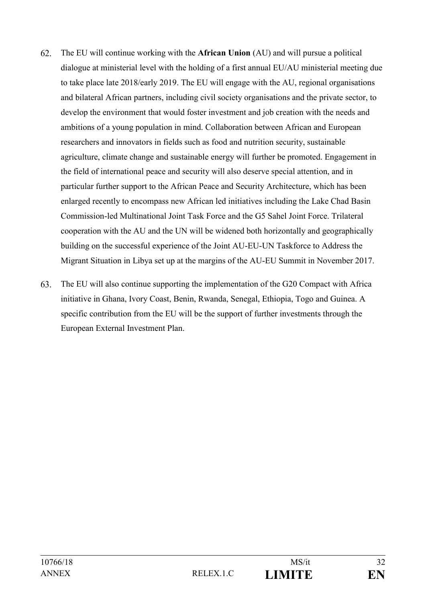- 62. The EU will continue working with the **African Union** (AU) and will pursue a political dialogue at ministerial level with the holding of a first annual EU/AU ministerial meeting due to take place late 2018/early 2019. The EU will engage with the AU, regional organisations and bilateral African partners, including civil society organisations and the private sector, to develop the environment that would foster investment and job creation with the needs and ambitions of a young population in mind. Collaboration between African and European researchers and innovators in fields such as food and nutrition security, sustainable agriculture, climate change and sustainable energy will further be promoted. Engagement in the field of international peace and security will also deserve special attention, and in particular further support to the African Peace and Security Architecture, which has been enlarged recently to encompass new African led initiatives including the Lake Chad Basin Commission-led Multinational Joint Task Force and the G5 Sahel Joint Force. Trilateral cooperation with the AU and the UN will be widened both horizontally and geographically building on the successful experience of the Joint AU-EU-UN Taskforce to Address the Migrant Situation in Libya set up at the margins of the AU-EU Summit in November 2017.
- 63. The EU will also continue supporting the implementation of the G20 Compact with Africa initiative in Ghana, Ivory Coast, Benin, Rwanda, Senegal, Ethiopia, Togo and Guinea. A specific contribution from the EU will be the support of further investments through the European External Investment Plan.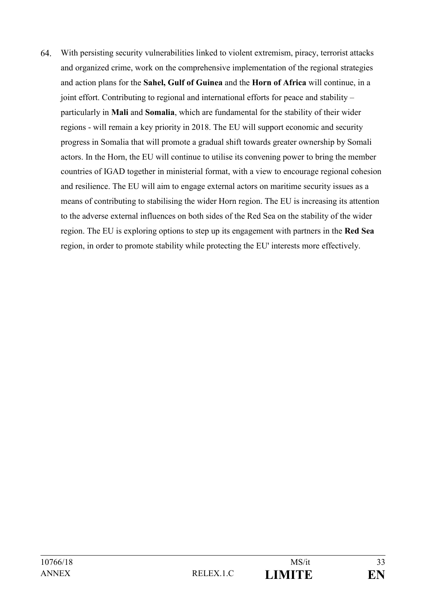64 With persisting security vulnerabilities linked to violent extremism, piracy, terrorist attacks and organized crime, work on the comprehensive implementation of the regional strategies and action plans for the **Sahel, Gulf of Guinea** and the **Horn of Africa** will continue, in a joint effort. Contributing to regional and international efforts for peace and stability – particularly in **Mali** and **Somalia**, which are fundamental for the stability of their wider regions - will remain a key priority in 2018. The EU will support economic and security progress in Somalia that will promote a gradual shift towards greater ownership by Somali actors. In the Horn, the EU will continue to utilise its convening power to bring the member countries of IGAD together in ministerial format, with a view to encourage regional cohesion and resilience. The EU will aim to engage external actors on maritime security issues as a means of contributing to stabilising the wider Horn region. The EU is increasing its attention to the adverse external influences on both sides of the Red Sea on the stability of the wider region. The EU is exploring options to step up its engagement with partners in the **Red Sea** region, in order to promote stability while protecting the EU' interests more effectively.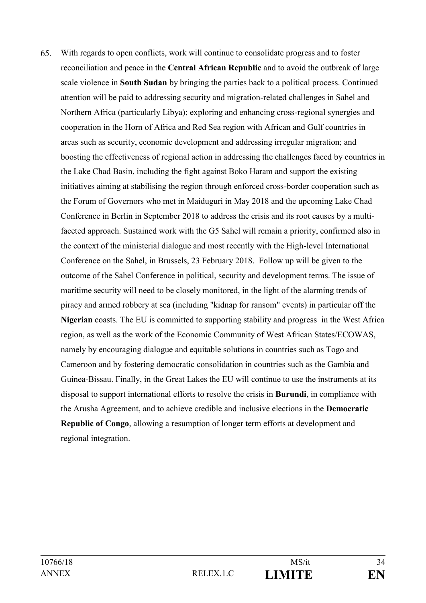65. With regards to open conflicts, work will continue to consolidate progress and to foster reconciliation and peace in the **Central African Republic** and to avoid the outbreak of large scale violence in **South Sudan** by bringing the parties back to a political process. Continued attention will be paid to addressing security and migration-related challenges in Sahel and Northern Africa (particularly Libya); exploring and enhancing cross-regional synergies and cooperation in the Horn of Africa and Red Sea region with African and Gulf countries in areas such as security, economic development and addressing irregular migration; and boosting the effectiveness of regional action in addressing the challenges faced by countries in the Lake Chad Basin, including the fight against Boko Haram and support the existing initiatives aiming at stabilising the region through enforced cross-border cooperation such as the Forum of Governors who met in Maiduguri in May 2018 and the upcoming Lake Chad Conference in Berlin in September 2018 to address the crisis and its root causes by a multifaceted approach. Sustained work with the G5 Sahel will remain a priority, confirmed also in the context of the ministerial dialogue and most recently with the High-level International Conference on the Sahel, in Brussels, 23 February 2018. Follow up will be given to the outcome of the Sahel Conference in political, security and development terms. The issue of maritime security will need to be closely monitored, in the light of the alarming trends of piracy and armed robbery at sea (including "kidnap for ransom" events) in particular off the **Nigerian** coasts. The EU is committed to supporting stability and progress in the West Africa region, as well as the work of the Economic Community of West African States/ECOWAS, namely by encouraging dialogue and equitable solutions in countries such as Togo and Cameroon and by fostering democratic consolidation in countries such as the Gambia and Guinea-Bissau. Finally, in the Great Lakes the EU will continue to use the instruments at its disposal to support international efforts to resolve the crisis in **Burundi**, in compliance with the Arusha Agreement, and to achieve credible and inclusive elections in the **Democratic Republic of Congo**, allowing a resumption of longer term efforts at development and regional integration.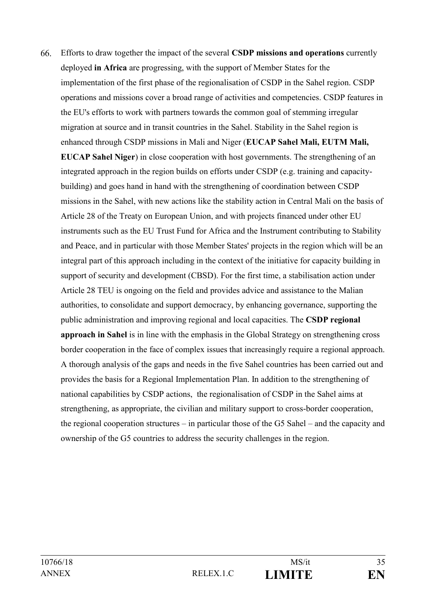66. Efforts to draw together the impact of the several **CSDP missions and operations** currently deployed **in Africa** are progressing, with the support of Member States for the implementation of the first phase of the regionalisation of CSDP in the Sahel region. CSDP operations and missions cover a broad range of activities and competencies. CSDP features in the EU's efforts to work with partners towards the common goal of stemming irregular migration at source and in transit countries in the Sahel. Stability in the Sahel region is enhanced through CSDP missions in Mali and Niger (**EUCAP Sahel Mali, EUTM Mali, EUCAP Sahel Niger**) in close cooperation with host governments. The strengthening of an integrated approach in the region builds on efforts under CSDP (e.g. training and capacitybuilding) and goes hand in hand with the strengthening of coordination between CSDP missions in the Sahel, with new actions like the stability action in Central Mali on the basis of Article 28 of the Treaty on European Union, and with projects financed under other EU instruments such as the EU Trust Fund for Africa and the Instrument contributing to Stability and Peace, and in particular with those Member States' projects in the region which will be an integral part of this approach including in the context of the initiative for capacity building in support of security and development (CBSD). For the first time, a stabilisation action under Article 28 TEU is ongoing on the field and provides advice and assistance to the Malian authorities, to consolidate and support democracy, by enhancing governance, supporting the public administration and improving regional and local capacities. The **CSDP regional approach in Sahel** is in line with the emphasis in the Global Strategy on strengthening cross border cooperation in the face of complex issues that increasingly require a regional approach. A thorough analysis of the gaps and needs in the five Sahel countries has been carried out and provides the basis for a Regional Implementation Plan. In addition to the strengthening of national capabilities by CSDP actions, the regionalisation of CSDP in the Sahel aims at strengthening, as appropriate, the civilian and military support to cross-border cooperation, the regional cooperation structures – in particular those of the G5 Sahel – and the capacity and ownership of the G5 countries to address the security challenges in the region.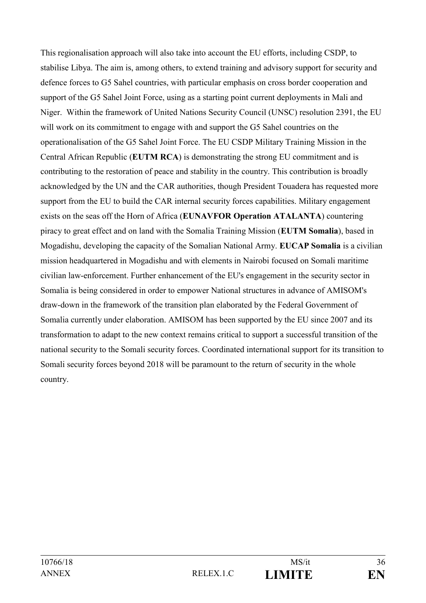This regionalisation approach will also take into account the EU efforts, including CSDP, to stabilise Libya. The aim is, among others, to extend training and advisory support for security and defence forces to G5 Sahel countries, with particular emphasis on cross border cooperation and support of the G5 Sahel Joint Force, using as a starting point current deployments in Mali and Niger. Within the framework of United Nations Security Council (UNSC) resolution 2391, the EU will work on its commitment to engage with and support the G5 Sahel countries on the operationalisation of the G5 Sahel Joint Force. The EU CSDP Military Training Mission in the Central African Republic (**EUTM RCA**) is demonstrating the strong EU commitment and is contributing to the restoration of peace and stability in the country. This contribution is broadly acknowledged by the UN and the CAR authorities, though President Touadera has requested more support from the EU to build the CAR internal security forces capabilities. Military engagement exists on the seas off the Horn of Africa (**EUNAVFOR Operation ATALANTA**) countering piracy to great effect and on land with the Somalia Training Mission (**EUTM Somalia**), based in Mogadishu, developing the capacity of the Somalian National Army. **EUCAP Somalia** is a civilian mission headquartered in Mogadishu and with elements in Nairobi focused on Somali maritime civilian law-enforcement. Further enhancement of the EU's engagement in the security sector in Somalia is being considered in order to empower National structures in advance of AMISOM's draw-down in the framework of the transition plan elaborated by the Federal Government of Somalia currently under elaboration. AMISOM has been supported by the EU since 2007 and its transformation to adapt to the new context remains critical to support a successful transition of the national security to the Somali security forces. Coordinated international support for its transition to Somali security forces beyond 2018 will be paramount to the return of security in the whole country.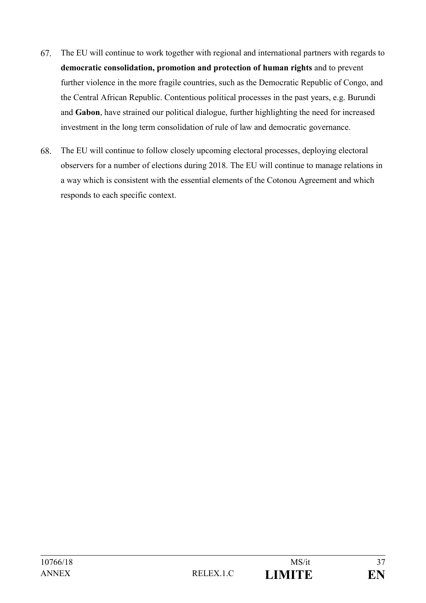- 67. The EU will continue to work together with regional and international partners with regards to **democratic consolidation, promotion and protection of human rights** and to prevent further violence in the more fragile countries, such as the Democratic Republic of Congo, and the Central African Republic. Contentious political processes in the past years, e.g. Burundi and **Gabon**, have strained our political dialogue, further highlighting the need for increased investment in the long term consolidation of rule of law and democratic governance.
- 68. The EU will continue to follow closely upcoming electoral processes, deploying electoral observers for a number of elections during 2018. The EU will continue to manage relations in a way which is consistent with the essential elements of the Cotonou Agreement and which responds to each specific context.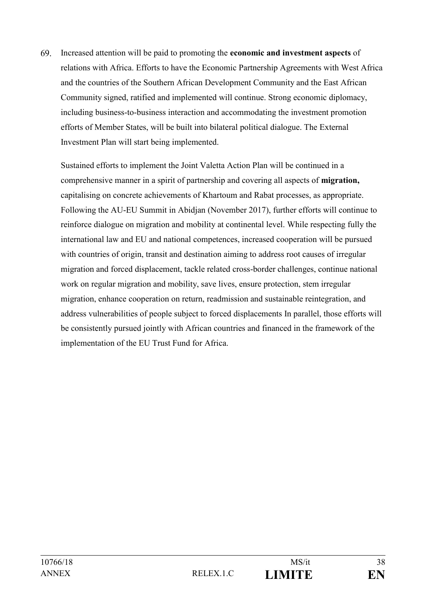69. Increased attention will be paid to promoting the **economic and investment aspects** of relations with Africa. Efforts to have the Economic Partnership Agreements with West Africa and the countries of the Southern African Development Community and the East African Community signed, ratified and implemented will continue. Strong economic diplomacy, including business-to-business interaction and accommodating the investment promotion efforts of Member States, will be built into bilateral political dialogue. The External Investment Plan will start being implemented.

Sustained efforts to implement the Joint Valetta Action Plan will be continued in a comprehensive manner in a spirit of partnership and covering all aspects of **migration,** capitalising on concrete achievements of Khartoum and Rabat processes, as appropriate. Following the AU-EU Summit in Abidjan (November 2017), further efforts will continue to reinforce dialogue on migration and mobility at continental level. While respecting fully the international law and EU and national competences, increased cooperation will be pursued with countries of origin, transit and destination aiming to address root causes of irregular migration and forced displacement, tackle related cross-border challenges, continue national work on regular migration and mobility, save lives, ensure protection, stem irregular migration, enhance cooperation on return, readmission and sustainable reintegration, and address vulnerabilities of people subject to forced displacements In parallel, those efforts will be consistently pursued jointly with African countries and financed in the framework of the implementation of the EU Trust Fund for Africa.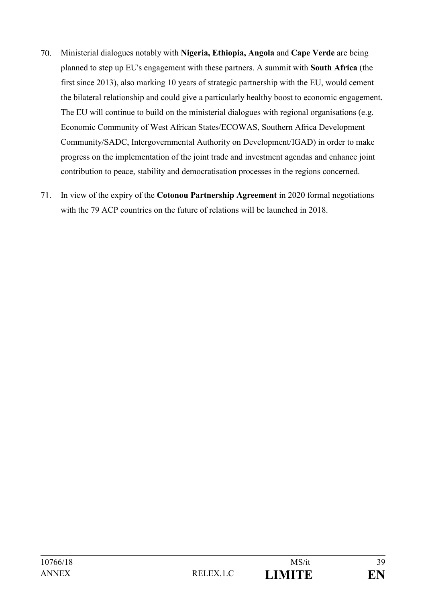- 70. Ministerial dialogues notably with **Nigeria, Ethiopia, Angola** and **Cape Verde** are being planned to step up EU's engagement with these partners. A summit with **South Africa** (the first since 2013), also marking 10 years of strategic partnership with the EU, would cement the bilateral relationship and could give a particularly healthy boost to economic engagement. The EU will continue to build on the ministerial dialogues with regional organisations (e.g. Economic Community of West African States/ECOWAS, Southern Africa Development Community/SADC, Intergovernmental Authority on Development/IGAD) in order to make progress on the implementation of the joint trade and investment agendas and enhance joint contribution to peace, stability and democratisation processes in the regions concerned.
- 71. In view of the expiry of the **Cotonou Partnership Agreement** in 2020 formal negotiations with the 79 ACP countries on the future of relations will be launched in 2018.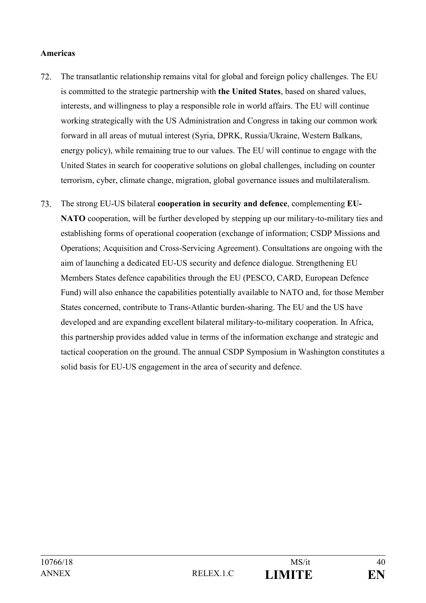#### **Americas**

- 72. The transatlantic relationship remains vital for global and foreign policy challenges. The EU is committed to the strategic partnership with **the United States**, based on shared values, interests, and willingness to play a responsible role in world affairs. The EU will continue working strategically with the US Administration and Congress in taking our common work forward in all areas of mutual interest (Syria, DPRK, Russia/Ukraine, Western Balkans, energy policy), while remaining true to our values. The EU will continue to engage with the United States in search for cooperative solutions on global challenges, including on counter terrorism, cyber, climate change, migration, global governance issues and multilateralism.
- 73. The strong EU-US bilateral **cooperation in security and defence**, complementing **EU-NATO** cooperation, will be further developed by stepping up our military-to-military ties and establishing forms of operational cooperation (exchange of information; CSDP Missions and Operations; Acquisition and Cross-Servicing Agreement). Consultations are ongoing with the aim of launching a dedicated EU-US security and defence dialogue. Strengthening EU Members States defence capabilities through the EU (PESCO, CARD, European Defence Fund) will also enhance the capabilities potentially available to NATO and, for those Member States concerned, contribute to Trans-Atlantic burden-sharing. The EU and the US have developed and are expanding excellent bilateral military-to-military cooperation. In Africa, this partnership provides added value in terms of the information exchange and strategic and tactical cooperation on the ground. The annual CSDP Symposium in Washington constitutes a solid basis for EU-US engagement in the area of security and defence.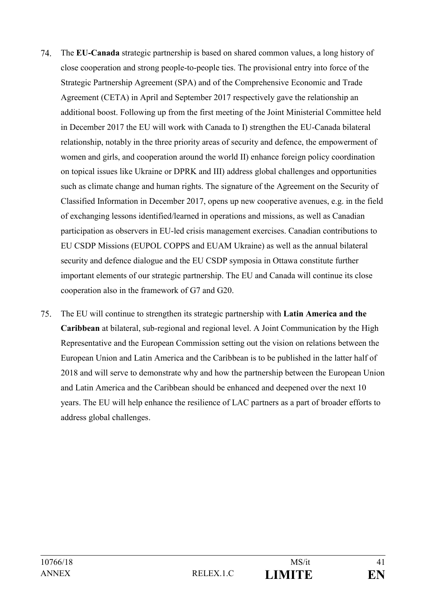- 74 The **EU-Canada** strategic partnership is based on shared common values, a long history of close cooperation and strong people-to-people ties. The provisional entry into force of the Strategic Partnership Agreement (SPA) and of the Comprehensive Economic and Trade Agreement (CETA) in April and September 2017 respectively gave the relationship an additional boost. Following up from the first meeting of the Joint Ministerial Committee held in December 2017 the EU will work with Canada to I) strengthen the EU-Canada bilateral relationship, notably in the three priority areas of security and defence, the empowerment of women and girls, and cooperation around the world II) enhance foreign policy coordination on topical issues like Ukraine or DPRK and III) address global challenges and opportunities such as climate change and human rights. The signature of the Agreement on the Security of Classified Information in December 2017, opens up new cooperative avenues, e.g. in the field of exchanging lessons identified/learned in operations and missions, as well as Canadian participation as observers in EU-led crisis management exercises. Canadian contributions to EU CSDP Missions (EUPOL COPPS and EUAM Ukraine) as well as the annual bilateral security and defence dialogue and the EU CSDP symposia in Ottawa constitute further important elements of our strategic partnership. The EU and Canada will continue its close cooperation also in the framework of G7 and G20.
- 75. The EU will continue to strengthen its strategic partnership with **Latin America and the Caribbean** at bilateral, sub-regional and regional level. A Joint Communication by the High Representative and the European Commission setting out the vision on relations between the European Union and Latin America and the Caribbean is to be published in the latter half of 2018 and will serve to demonstrate why and how the partnership between the European Union and Latin America and the Caribbean should be enhanced and deepened over the next 10 years. The EU will help enhance the resilience of LAC partners as a part of broader efforts to address global challenges.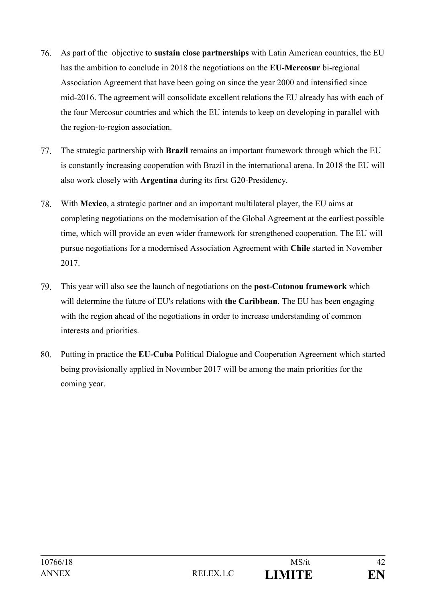- 76. As part of the objective to **sustain close partnerships** with Latin American countries, the EU has the ambition to conclude in 2018 the negotiations on the **EU-Mercosur** bi-regional Association Agreement that have been going on since the year 2000 and intensified since mid-2016. The agreement will consolidate excellent relations the EU already has with each of the four Mercosur countries and which the EU intends to keep on developing in parallel with the region-to-region association.
- 77. The strategic partnership with **Brazil** remains an important framework through which the EU is constantly increasing cooperation with Brazil in the international arena. In 2018 the EU will also work closely with **Argentina** during its first G20-Presidency.
- 78. With **Mexico**, a strategic partner and an important multilateral player, the EU aims at completing negotiations on the modernisation of the Global Agreement at the earliest possible time, which will provide an even wider framework for strengthened cooperation. The EU will pursue negotiations for a modernised Association Agreement with **Chile** started in November 2017.
- 79. This year will also see the launch of negotiations on the **post-Cotonou framework** which will determine the future of EU's relations with **the Caribbean**. The EU has been engaging with the region ahead of the negotiations in order to increase understanding of common interests and priorities.
- 80. Putting in practice the **EU-Cuba** Political Dialogue and Cooperation Agreement which started being provisionally applied in November 2017 will be among the main priorities for the coming year.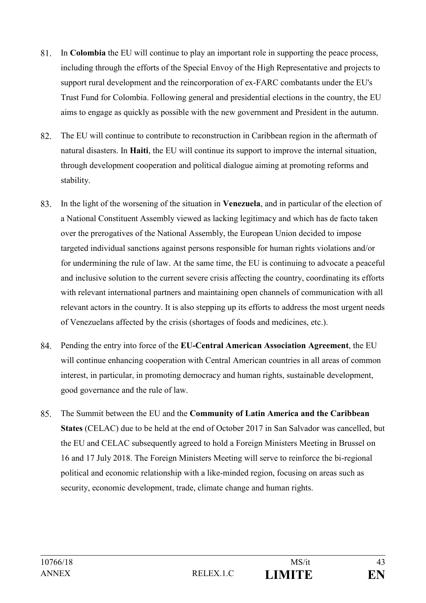- 81. In **Colombia** the EU will continue to play an important role in supporting the peace process, including through the efforts of the Special Envoy of the High Representative and projects to support rural development and the reincorporation of ex-FARC combatants under the EU's Trust Fund for Colombia. Following general and presidential elections in the country, the EU aims to engage as quickly as possible with the new government and President in the autumn.
- 82. The EU will continue to contribute to reconstruction in Caribbean region in the aftermath of natural disasters. In **Haiti**, the EU will continue its support to improve the internal situation, through development cooperation and political dialogue aiming at promoting reforms and stability.
- 83. In the light of the worsening of the situation in **Venezuela**, and in particular of the election of a National Constituent Assembly viewed as lacking legitimacy and which has de facto taken over the prerogatives of the National Assembly, the European Union decided to impose targeted individual sanctions against persons responsible for human rights violations and/or for undermining the rule of law. At the same time, the EU is continuing to advocate a peaceful and inclusive solution to the current severe crisis affecting the country, coordinating its efforts with relevant international partners and maintaining open channels of communication with all relevant actors in the country. It is also stepping up its efforts to address the most urgent needs of Venezuelans affected by the crisis (shortages of foods and medicines, etc.).
- 84. Pending the entry into force of the **EU-Central American Association Agreement**, the EU will continue enhancing cooperation with Central American countries in all areas of common interest, in particular, in promoting democracy and human rights, sustainable development, good governance and the rule of law.
- 85. The Summit between the EU and the **Community of Latin America and the Caribbean States** (CELAC) due to be held at the end of October 2017 in San Salvador was cancelled, but the EU and CELAC subsequently agreed to hold a Foreign Ministers Meeting in Brussel on 16 and 17 July 2018. The Foreign Ministers Meeting will serve to reinforce the bi-regional political and economic relationship with a like-minded region, focusing on areas such as security, economic development, trade, climate change and human rights.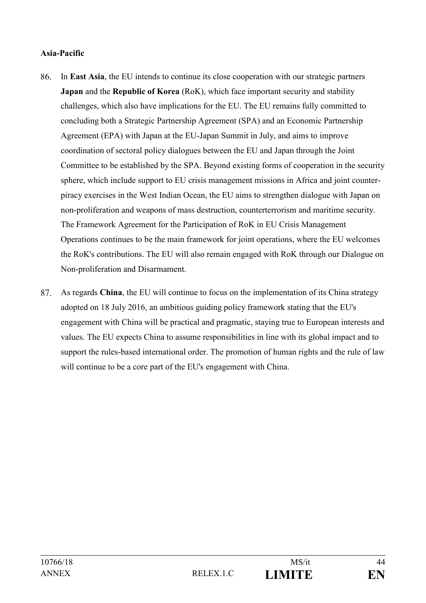# **Asia-Pacific**

- 86. In **East Asia**, the EU intends to continue its close cooperation with our strategic partners **Japan** and the **Republic of Korea** (RoK), which face important security and stability challenges, which also have implications for the EU. The EU remains fully committed to concluding both a Strategic Partnership Agreement (SPA) and an Economic Partnership Agreement (EPA) with Japan at the EU-Japan Summit in July, and aims to improve coordination of sectoral policy dialogues between the EU and Japan through the Joint Committee to be established by the SPA. Beyond existing forms of cooperation in the security sphere, which include support to EU crisis management missions in Africa and joint counterpiracy exercises in the West Indian Ocean, the EU aims to strengthen dialogue with Japan on non-proliferation and weapons of mass destruction, counterterrorism and maritime security. The Framework Agreement for the Participation of RoK in EU Crisis Management Operations continues to be the main framework for joint operations, where the EU welcomes the RoK's contributions. The EU will also remain engaged with RoK through our Dialogue on Non-proliferation and Disarmament.
- 87. As regards **China**, the EU will continue to focus on the implementation of its China strategy adopted on 18 July 2016, an ambitious guiding policy framework stating that the EU's engagement with China will be practical and pragmatic, staying true to European interests and values. The EU expects China to assume responsibilities in line with its global impact and to support the rules-based international order. The promotion of human rights and the rule of law will continue to be a core part of the EU's engagement with China.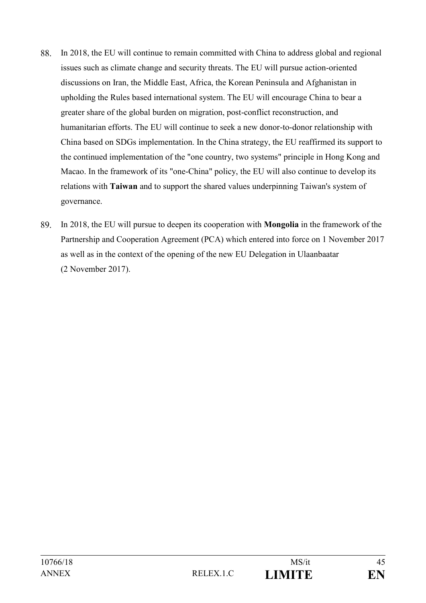- 88. In 2018, the EU will continue to remain committed with China to address global and regional issues such as climate change and security threats. The EU will pursue action-oriented discussions on Iran, the Middle East, Africa, the Korean Peninsula and Afghanistan in upholding the Rules based international system. The EU will encourage China to bear a greater share of the global burden on migration, post-conflict reconstruction, and humanitarian efforts. The EU will continue to seek a new donor-to-donor relationship with China based on SDGs implementation. In the China strategy, the EU reaffirmed its support to the continued implementation of the "one country, two systems" principle in Hong Kong and Macao. In the framework of its "one-China" policy, the EU will also continue to develop its relations with **Taiwan** and to support the shared values underpinning Taiwan's system of governance.
- 89. In 2018, the EU will pursue to deepen its cooperation with **Mongolia** in the framework of the Partnership and Cooperation Agreement (PCA) which entered into force on 1 November 2017 as well as in the context of the opening of the new EU Delegation in Ulaanbaatar (2 November 2017).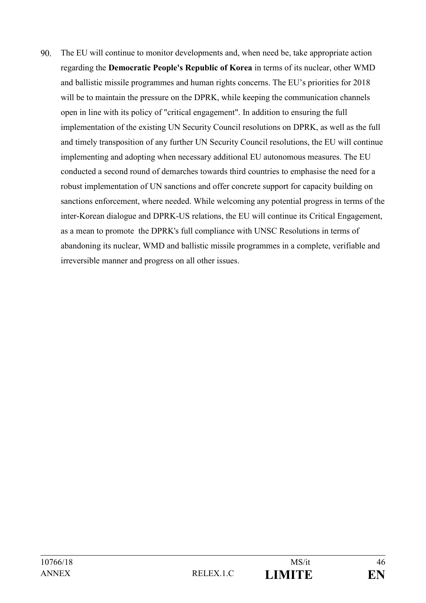90. The EU will continue to monitor developments and, when need be, take appropriate action regarding the **Democratic People's Republic of Korea** in terms of its nuclear, other WMD and ballistic missile programmes and human rights concerns. The EU's priorities for 2018 will be to maintain the pressure on the DPRK, while keeping the communication channels open in line with its policy of "critical engagement". In addition to ensuring the full implementation of the existing UN Security Council resolutions on DPRK, as well as the full and timely transposition of any further UN Security Council resolutions, the EU will continue implementing and adopting when necessary additional EU autonomous measures. The EU conducted a second round of demarches towards third countries to emphasise the need for a robust implementation of UN sanctions and offer concrete support for capacity building on sanctions enforcement, where needed. While welcoming any potential progress in terms of the inter-Korean dialogue and DPRK-US relations, the EU will continue its Critical Engagement, as a mean to promote the DPRK's full compliance with UNSC Resolutions in terms of abandoning its nuclear, WMD and ballistic missile programmes in a complete, verifiable and irreversible manner and progress on all other issues.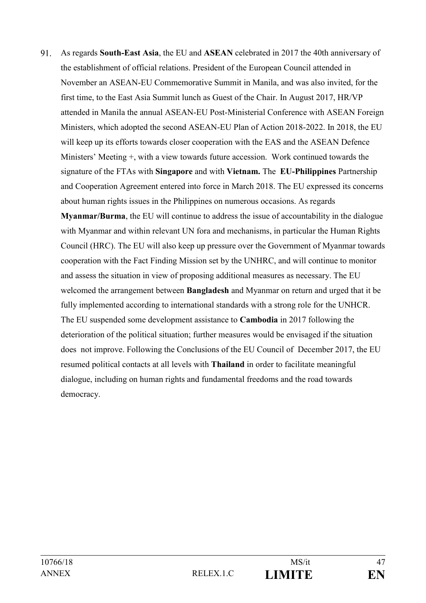$91$ As regards **South-East Asia**, the EU and **ASEAN** celebrated in 2017 the 40th anniversary of the establishment of official relations. President of the European Council attended in November an ASEAN-EU Commemorative Summit in Manila, and was also invited, for the first time, to the East Asia Summit lunch as Guest of the Chair. In August 2017, HR/VP attended in Manila the annual ASEAN-EU Post-Ministerial Conference with ASEAN Foreign Ministers, which adopted the second ASEAN-EU Plan of Action 2018-2022. In 2018, the EU will keep up its efforts towards closer cooperation with the EAS and the ASEAN Defence Ministers' Meeting +, with a view towards future accession. Work continued towards the signature of the FTAs with **Singapore** and with **Vietnam.** The **EU-Philippines** Partnership and Cooperation Agreement entered into force in March 2018. The EU expressed its concerns about human rights issues in the Philippines on numerous occasions. As regards **Myanmar/Burma**, the EU will continue to address the issue of accountability in the dialogue with Myanmar and within relevant UN fora and mechanisms, in particular the Human Rights Council (HRC). The EU will also keep up pressure over the Government of Myanmar towards cooperation with the Fact Finding Mission set by the UNHRC, and will continue to monitor and assess the situation in view of proposing additional measures as necessary. The EU welcomed the arrangement between **Bangladesh** and Myanmar on return and urged that it be fully implemented according to international standards with a strong role for the UNHCR.

The EU suspended some development assistance to **Cambodia** in 2017 following the deterioration of the political situation; further measures would be envisaged if the situation does not improve. Following the Conclusions of the EU Council of December 2017, the EU resumed political contacts at all levels with **Thailand** in order to facilitate meaningful dialogue, including on human rights and fundamental freedoms and the road towards democracy.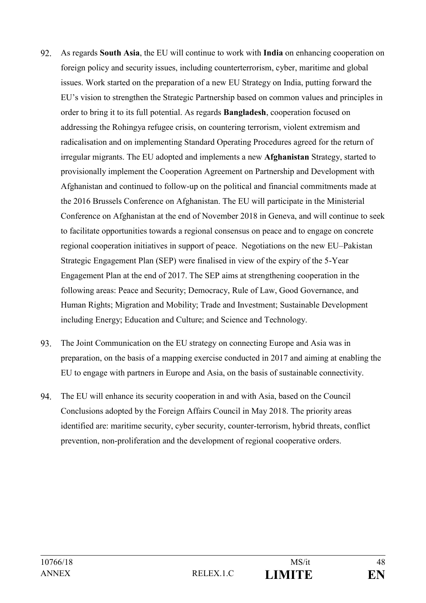- 92. As regards **South Asia**, the EU will continue to work with **India** on enhancing cooperation on foreign policy and security issues, including counterterrorism, cyber, maritime and global issues. Work started on the preparation of a new EU Strategy on India, putting forward the EU's vision to strengthen the Strategic Partnership based on common values and principles in order to bring it to its full potential. As regards **Bangladesh**, cooperation focused on addressing the Rohingya refugee crisis, on countering terrorism, violent extremism and radicalisation and on implementing Standard Operating Procedures agreed for the return of irregular migrants. The EU adopted and implements a new **Afghanistan** Strategy, started to provisionally implement the Cooperation Agreement on Partnership and Development with Afghanistan and continued to follow-up on the political and financial commitments made at the 2016 Brussels Conference on Afghanistan. The EU will participate in the Ministerial Conference on Afghanistan at the end of November 2018 in Geneva, and will continue to seek to facilitate opportunities towards a regional consensus on peace and to engage on concrete regional cooperation initiatives in support of peace. Negotiations on the new EU–Pakistan Strategic Engagement Plan (SEP) were finalised in view of the expiry of the 5-Year Engagement Plan at the end of 2017. The SEP aims at strengthening cooperation in the following areas: Peace and Security; Democracy, Rule of Law, Good Governance, and Human Rights; Migration and Mobility; Trade and Investment; Sustainable Development including Energy; Education and Culture; and Science and Technology.
- 93. The Joint Communication on the EU strategy on connecting Europe and Asia was in preparation, on the basis of a mapping exercise conducted in 2017 and aiming at enabling the EU to engage with partners in Europe and Asia, on the basis of sustainable connectivity.
- 94. The EU will enhance its security cooperation in and with Asia, based on the Council Conclusions adopted by the Foreign Affairs Council in May 2018. The priority areas identified are: maritime security, cyber security, counter-terrorism, hybrid threats, conflict prevention, non-proliferation and the development of regional cooperative orders.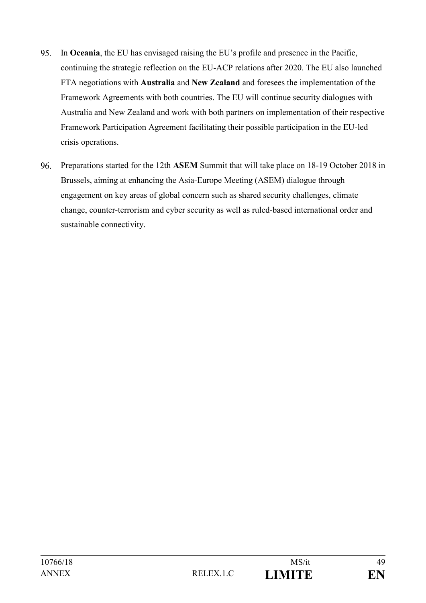- 95. In **Oceania**, the EU has envisaged raising the EU's profile and presence in the Pacific, continuing the strategic reflection on the EU-ACP relations after 2020. The EU also launched FTA negotiations with **Australia** and **New Zealand** and foresees the implementation of the Framework Agreements with both countries. The EU will continue security dialogues with Australia and New Zealand and work with both partners on implementation of their respective Framework Participation Agreement facilitating their possible participation in the EU-led crisis operations.
- 96. Preparations started for the 12th **ASEM** Summit that will take place on 18-19 October 2018 in Brussels, aiming at enhancing the Asia-Europe Meeting (ASEM) dialogue through engagement on key areas of global concern such as shared security challenges, climate change, counter-terrorism and cyber security as well as ruled-based international order and sustainable connectivity.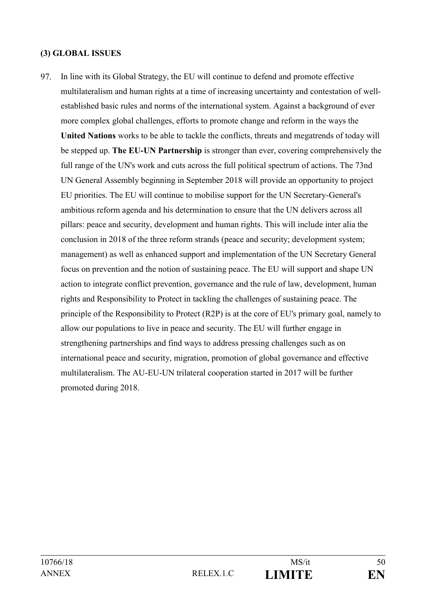### **(3) GLOBAL ISSUES**

97. In line with its Global Strategy, the EU will continue to defend and promote effective multilateralism and human rights at a time of increasing uncertainty and contestation of wellestablished basic rules and norms of the international system. Against a background of ever more complex global challenges, efforts to promote change and reform in the ways the **United Nations** works to be able to tackle the conflicts, threats and megatrends of today will be stepped up. **The EU-UN Partnership** is stronger than ever, covering comprehensively the full range of the UN's work and cuts across the full political spectrum of actions. The 73nd UN General Assembly beginning in September 2018 will provide an opportunity to project EU priorities. The EU will continue to mobilise support for the UN Secretary-General's ambitious reform agenda and his determination to ensure that the UN delivers across all pillars: peace and security, development and human rights. This will include inter alia the conclusion in 2018 of the three reform strands (peace and security; development system; management) as well as enhanced support and implementation of the UN Secretary General focus on prevention and the notion of sustaining peace. The EU will support and shape UN action to integrate conflict prevention, governance and the rule of law, development, human rights and Responsibility to Protect in tackling the challenges of sustaining peace. The principle of the Responsibility to Protect (R2P) is at the core of EU's primary goal, namely to allow our populations to live in peace and security. The EU will further engage in strengthening partnerships and find ways to address pressing challenges such as on international peace and security, migration, promotion of global governance and effective multilateralism. The AU-EU-UN trilateral cooperation started in 2017 will be further promoted during 2018.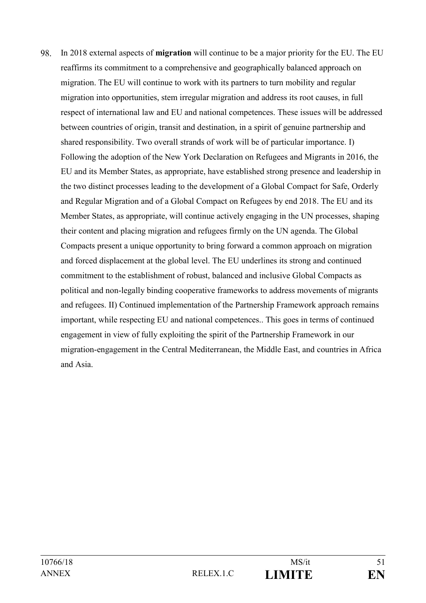98. In 2018 external aspects of **migration** will continue to be a major priority for the EU. The EU reaffirms its commitment to a comprehensive and geographically balanced approach on migration. The EU will continue to work with its partners to turn mobility and regular migration into opportunities, stem irregular migration and address its root causes, in full respect of international law and EU and national competences. These issues will be addressed between countries of origin, transit and destination, in a spirit of genuine partnership and shared responsibility. Two overall strands of work will be of particular importance. I) Following the adoption of the New York Declaration on Refugees and Migrants in 2016, the EU and its Member States, as appropriate, have established strong presence and leadership in the two distinct processes leading to the development of a Global Compact for Safe, Orderly and Regular Migration and of a Global Compact on Refugees by end 2018. The EU and its Member States, as appropriate, will continue actively engaging in the UN processes, shaping their content and placing migration and refugees firmly on the UN agenda. The Global Compacts present a unique opportunity to bring forward a common approach on migration and forced displacement at the global level. The EU underlines its strong and continued commitment to the establishment of robust, balanced and inclusive Global Compacts as political and non-legally binding cooperative frameworks to address movements of migrants and refugees. II) Continued implementation of the Partnership Framework approach remains important, while respecting EU and national competences.. This goes in terms of continued engagement in view of fully exploiting the spirit of the Partnership Framework in our migration-engagement in the Central Mediterranean, the Middle East, and countries in Africa and Asia.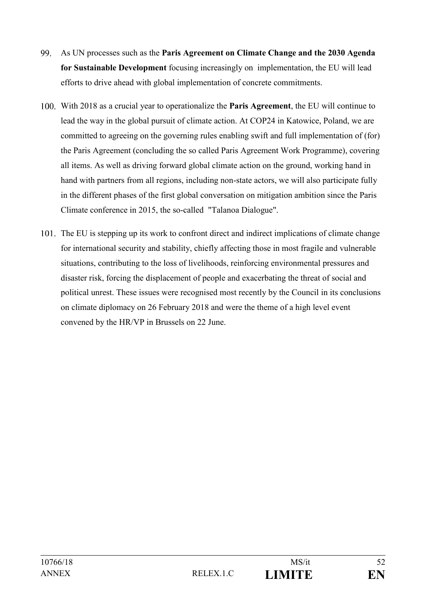- 99. As UN processes such as the **Paris Agreement on Climate Change and the 2030 Agenda for Sustainable Development** focusing increasingly on implementation, the EU will lead efforts to drive ahead with global implementation of concrete commitments.
- With 2018 as a crucial year to operationalize the **Paris Agreement**, the EU will continue to lead the way in the global pursuit of climate action. At COP24 in Katowice, Poland, we are committed to agreeing on the governing rules enabling swift and full implementation of (for) the Paris Agreement (concluding the so called Paris Agreement Work Programme), covering all items. As well as driving forward global climate action on the ground, working hand in hand with partners from all regions, including non-state actors, we will also participate fully in the different phases of the first global conversation on mitigation ambition since the Paris Climate conference in 2015, the so-called "Talanoa Dialogue".
- The EU is stepping up its work to confront direct and indirect implications of climate change for international security and stability, chiefly affecting those in most fragile and vulnerable situations, contributing to the loss of livelihoods, reinforcing environmental pressures and disaster risk, forcing the displacement of people and exacerbating the threat of social and political unrest. These issues were recognised most recently by the Council in its conclusions on climate diplomacy on 26 February 2018 and were the theme of a high level event convened by the HR/VP in Brussels on 22 June.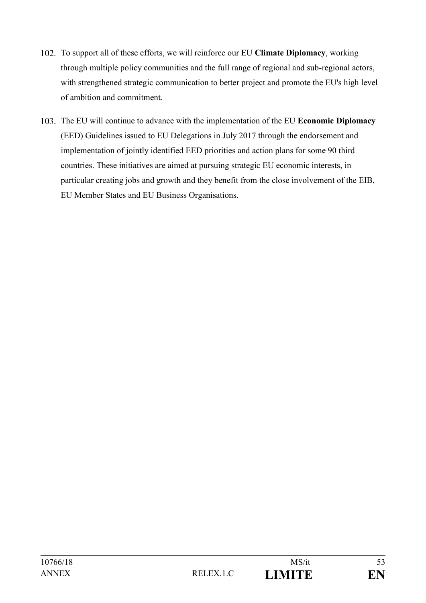- To support all of these efforts, we will reinforce our EU **Climate Diplomacy**, working through multiple policy communities and the full range of regional and sub-regional actors, with strengthened strategic communication to better project and promote the EU's high level of ambition and commitment.
- The EU will continue to advance with the implementation of the EU **Economic Diplomacy** (EED) Guidelines issued to EU Delegations in July 2017 through the endorsement and implementation of jointly identified EED priorities and action plans for some 90 third countries. These initiatives are aimed at pursuing strategic EU economic interests, in particular creating jobs and growth and they benefit from the close involvement of the EIB, EU Member States and EU Business Organisations.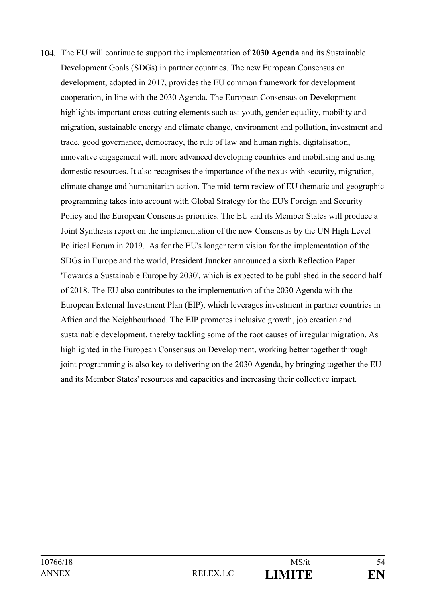The EU will continue to support the implementation of **2030 Agenda** and its Sustainable Development Goals (SDGs) in partner countries. The new European Consensus on development, adopted in 2017, provides the EU common framework for development cooperation, in line with the 2030 Agenda. The European Consensus on Development highlights important cross-cutting elements such as: youth, gender equality, mobility and migration, sustainable energy and climate change, environment and pollution, investment and trade, good governance, democracy, the rule of law and human rights, digitalisation, innovative engagement with more advanced developing countries and mobilising and using domestic resources. It also recognises the importance of the nexus with security, migration, climate change and humanitarian action. The mid-term review of EU thematic and geographic programming takes into account with Global Strategy for the EU's Foreign and Security Policy and the European Consensus priorities. The EU and its Member States will produce a Joint Synthesis report on the implementation of the new Consensus by the UN High Level Political Forum in 2019. As for the EU's longer term vision for the implementation of the SDGs in Europe and the world, President Juncker announced a sixth Reflection Paper 'Towards a Sustainable Europe by 2030', which is expected to be published in the second half of 2018. The EU also contributes to the implementation of the 2030 Agenda with the European External Investment Plan (EIP), which leverages investment in partner countries in Africa and the Neighbourhood. The EIP promotes inclusive growth, job creation and sustainable development, thereby tackling some of the root causes of irregular migration. As highlighted in the European Consensus on Development, working better together through joint programming is also key to delivering on the 2030 Agenda, by bringing together the EU and its Member States' resources and capacities and increasing their collective impact.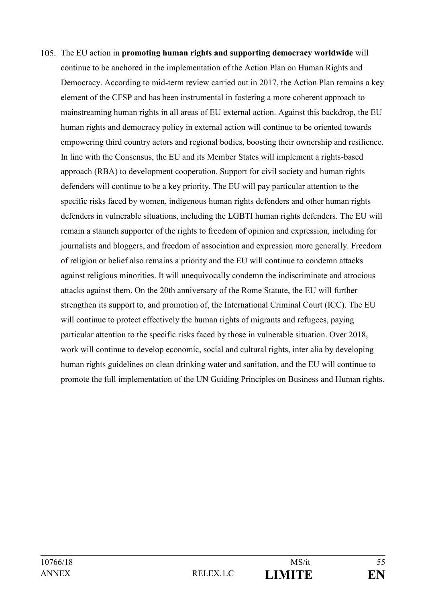The EU action in **promoting human rights and supporting democracy worldwide** will continue to be anchored in the implementation of the Action Plan on Human Rights and Democracy. According to mid-term review carried out in 2017, the Action Plan remains a key element of the CFSP and has been instrumental in fostering a more coherent approach to mainstreaming human rights in all areas of EU external action. Against this backdrop, the EU human rights and democracy policy in external action will continue to be oriented towards empowering third country actors and regional bodies, boosting their ownership and resilience. In line with the Consensus, the EU and its Member States will implement a rights-based approach (RBA) to development cooperation. Support for civil society and human rights defenders will continue to be a key priority. The EU will pay particular attention to the specific risks faced by women, indigenous human rights defenders and other human rights defenders in vulnerable situations, including the LGBTI human rights defenders. The EU will remain a staunch supporter of the rights to freedom of opinion and expression, including for journalists and bloggers, and freedom of association and expression more generally. Freedom of religion or belief also remains a priority and the EU will continue to condemn attacks against religious minorities. It will unequivocally condemn the indiscriminate and atrocious attacks against them. On the 20th anniversary of the Rome Statute, the EU will further strengthen its support to, and promotion of, the International Criminal Court (ICC). The EU will continue to protect effectively the human rights of migrants and refugees, paying particular attention to the specific risks faced by those in vulnerable situation. Over 2018, work will continue to develop economic, social and cultural rights, inter alia by developing human rights guidelines on clean drinking water and sanitation, and the EU will continue to promote the full implementation of the UN Guiding Principles on Business and Human rights.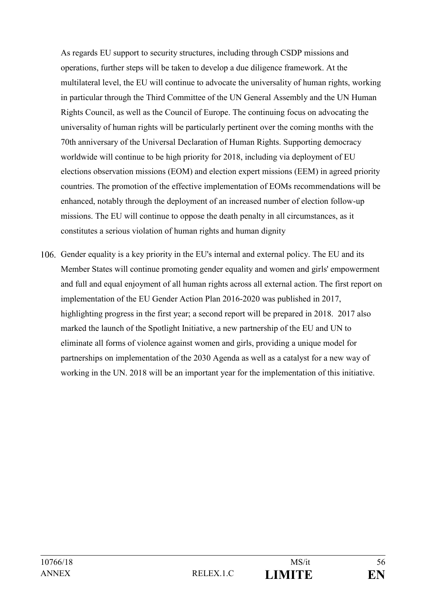As regards EU support to security structures, including through CSDP missions and operations, further steps will be taken to develop a due diligence framework. At the multilateral level, the EU will continue to advocate the universality of human rights, working in particular through the Third Committee of the UN General Assembly and the UN Human Rights Council, as well as the Council of Europe. The continuing focus on advocating the universality of human rights will be particularly pertinent over the coming months with the 70th anniversary of the Universal Declaration of Human Rights. Supporting democracy worldwide will continue to be high priority for 2018, including via deployment of EU elections observation missions (EOM) and election expert missions (EEM) in agreed priority countries. The promotion of the effective implementation of EOMs recommendations will be enhanced, notably through the deployment of an increased number of election follow-up missions. The EU will continue to oppose the death penalty in all circumstances, as it constitutes a serious violation of human rights and human dignity

Gender equality is a key priority in the EU's internal and external policy. The EU and its Member States will continue promoting gender equality and women and girls' empowerment and full and equal enjoyment of all human rights across all external action. The first report on implementation of the EU Gender Action Plan 2016-2020 was published in 2017, highlighting progress in the first year; a second report will be prepared in 2018. 2017 also marked the launch of the Spotlight Initiative, a new partnership of the EU and UN to eliminate all forms of violence against women and girls, providing a unique model for partnerships on implementation of the 2030 Agenda as well as a catalyst for a new way of working in the UN. 2018 will be an important year for the implementation of this initiative.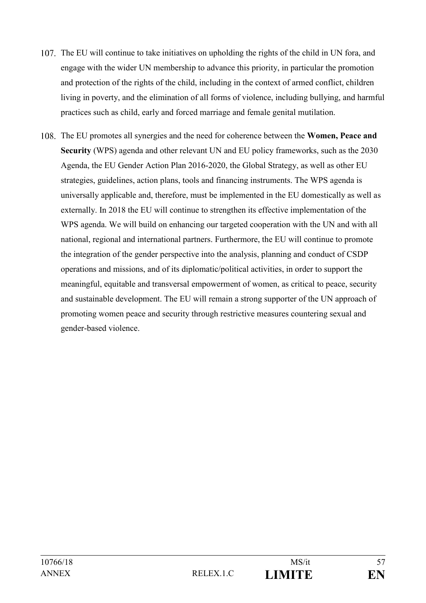- 107. The EU will continue to take initiatives on upholding the rights of the child in UN fora, and engage with the wider UN membership to advance this priority, in particular the promotion and protection of the rights of the child, including in the context of armed conflict, children living in poverty, and the elimination of all forms of violence, including bullying, and harmful practices such as child, early and forced marriage and female genital mutilation.
- The EU promotes all synergies and the need for coherence between the **Women, Peace and Security** (WPS) agenda and other relevant UN and EU policy frameworks, such as the 2030 Agenda, the EU Gender Action Plan 2016-2020, the Global Strategy, as well as other EU strategies, guidelines, action plans, tools and financing instruments. The WPS agenda is universally applicable and, therefore, must be implemented in the EU domestically as well as externally. In 2018 the EU will continue to strengthen its effective implementation of the WPS agenda. We will build on enhancing our targeted cooperation with the UN and with all national, regional and international partners. Furthermore, the EU will continue to promote the integration of the gender perspective into the analysis, planning and conduct of CSDP operations and missions, and of its diplomatic/political activities, in order to support the meaningful, equitable and transversal empowerment of women, as critical to peace, security and sustainable development. The EU will remain a strong supporter of the UN approach of promoting women peace and security through restrictive measures countering sexual and gender-based violence.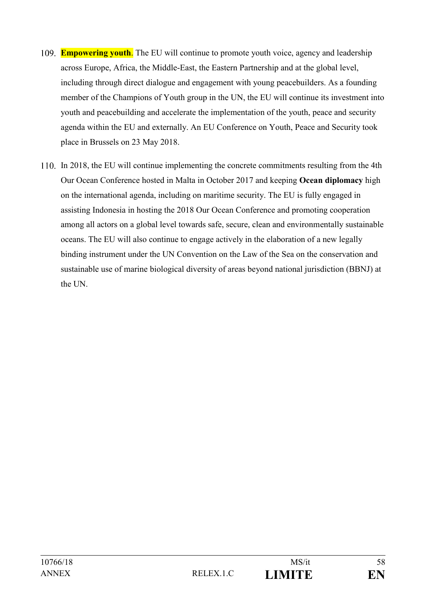- **Empowering youth**. The EU will continue to promote youth voice, agency and leadership across Europe, Africa, the Middle-East, the Eastern Partnership and at the global level, including through direct dialogue and engagement with young peacebuilders. As a founding member of the Champions of Youth group in the UN, the EU will continue its investment into youth and peacebuilding and accelerate the implementation of the youth, peace and security agenda within the EU and externally. An EU Conference on Youth, Peace and Security took place in Brussels on 23 May 2018.
- In 2018, the EU will continue implementing the concrete commitments resulting from the 4th Our Ocean Conference hosted in Malta in October 2017 and keeping **Ocean diplomacy** high on the international agenda, including on maritime security. The EU is fully engaged in assisting Indonesia in hosting the 2018 Our Ocean Conference and promoting cooperation among all actors on a global level towards safe, secure, clean and environmentally sustainable oceans. The EU will also continue to engage actively in the elaboration of a new legally binding instrument under the UN Convention on the Law of the Sea on the conservation and sustainable use of marine biological diversity of areas beyond national jurisdiction (BBNJ) at the UN.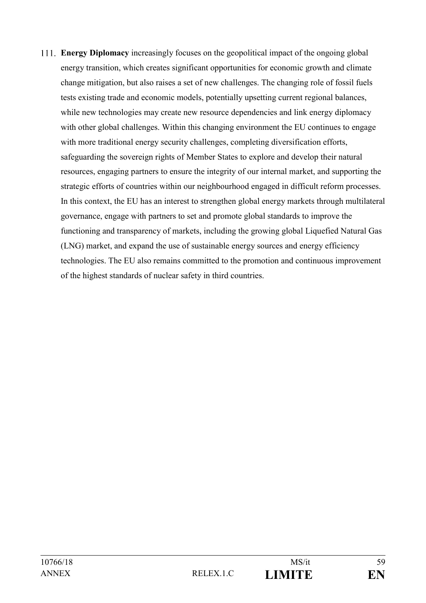**Energy Diplomacy** increasingly focuses on the geopolitical impact of the ongoing global energy transition, which creates significant opportunities for economic growth and climate change mitigation, but also raises a set of new challenges. The changing role of fossil fuels tests existing trade and economic models, potentially upsetting current regional balances, while new technologies may create new resource dependencies and link energy diplomacy with other global challenges. Within this changing environment the EU continues to engage with more traditional energy security challenges, completing diversification efforts, safeguarding the sovereign rights of Member States to explore and develop their natural resources, engaging partners to ensure the integrity of our internal market, and supporting the strategic efforts of countries within our neighbourhood engaged in difficult reform processes. In this context, the EU has an interest to strengthen global energy markets through multilateral governance, engage with partners to set and promote global standards to improve the functioning and transparency of markets, including the growing global Liquefied Natural Gas (LNG) market, and expand the use of sustainable energy sources and energy efficiency technologies. The EU also remains committed to the promotion and continuous improvement of the highest standards of nuclear safety in third countries.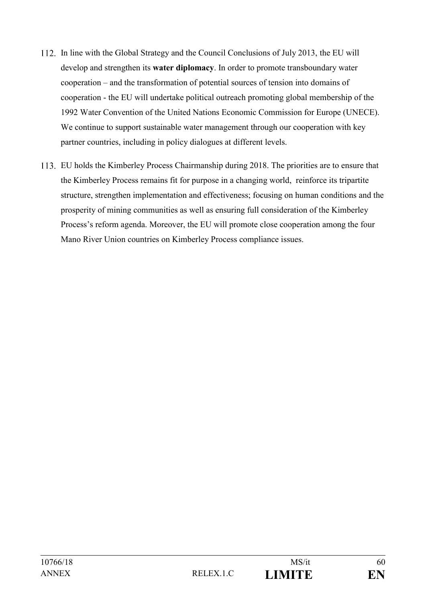- In line with the Global Strategy and the Council Conclusions of July 2013, the EU will develop and strengthen its **water diplomacy**. In order to promote transboundary water cooperation – and the transformation of potential sources of tension into domains of cooperation - the EU will undertake political outreach promoting global membership of the 1992 Water Convention of the United Nations Economic Commission for Europe (UNECE). We continue to support sustainable water management through our cooperation with key partner countries, including in policy dialogues at different levels.
- EU holds the Kimberley Process Chairmanship during 2018. The priorities are to ensure that the Kimberley Process remains fit for purpose in a changing world, reinforce its tripartite structure, strengthen implementation and effectiveness; focusing on human conditions and the prosperity of mining communities as well as ensuring full consideration of the Kimberley Process's reform agenda. Moreover, the EU will promote close cooperation among the four Mano River Union countries on Kimberley Process compliance issues.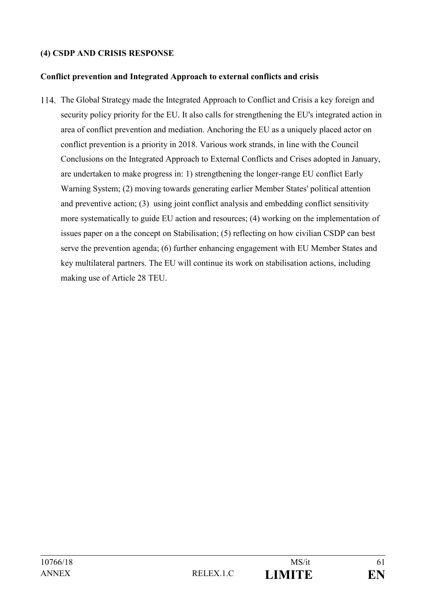# **(4) CSDP AND CRISIS RESPONSE**

#### **Conflict prevention and Integrated Approach to external conflicts and crisis**

The Global Strategy made the Integrated Approach to Conflict and Crisis a key foreign and security policy priority for the EU. It also calls for strengthening the EU's integrated action in area of conflict prevention and mediation. Anchoring the EU as a uniquely placed actor on conflict prevention is a priority in 2018. Various work strands, in line with the Council Conclusions on the Integrated Approach to External Conflicts and Crises adopted in January, are undertaken to make progress in: 1) strengthening the longer-range EU conflict Early Warning System; (2) moving towards generating earlier Member States' political attention and preventive action; (3) using joint conflict analysis and embedding conflict sensitivity more systematically to guide EU action and resources; (4) working on the implementation of issues paper on a the concept on Stabilisation; (5) reflecting on how civilian CSDP can best serve the prevention agenda; (6) further enhancing engagement with EU Member States and key multilateral partners. The EU will continue its work on stabilisation actions, including making use of Article 28 TEU.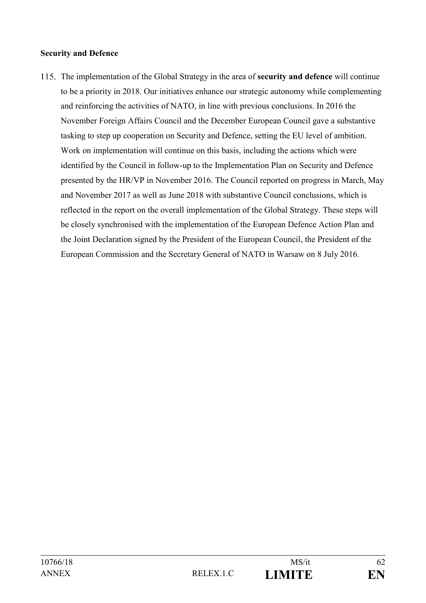#### **Security and Defence**

The implementation of the Global Strategy in the area of **security and defence** will continue to be a priority in 2018. Our initiatives enhance our strategic autonomy while complementing and reinforcing the activities of NATO, in line with previous conclusions. In 2016 the November Foreign Affairs Council and the December European Council gave a substantive tasking to step up cooperation on Security and Defence, setting the EU level of ambition. Work on implementation will continue on this basis, including the actions which were identified by the Council in follow-up to the Implementation Plan on Security and Defence presented by the HR/VP in November 2016. The Council reported on progress in March, May and November 2017 as well as June 2018 with substantive Council conclusions, which is reflected in the report on the overall implementation of the Global Strategy. These steps will be closely synchronised with the implementation of the European Defence Action Plan and the Joint Declaration signed by the President of the European Council, the President of the European Commission and the Secretary General of NATO in Warsaw on 8 July 2016.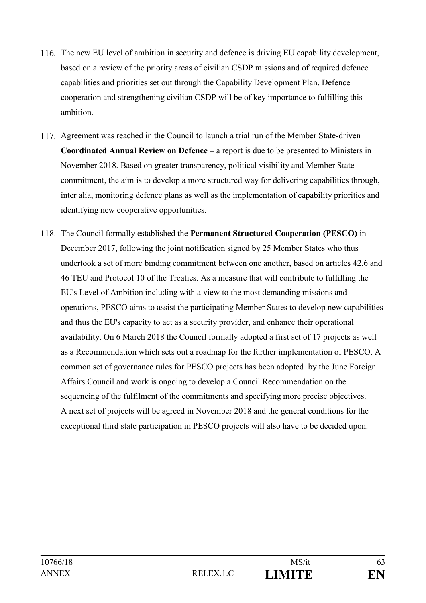- 116. The new EU level of ambition in security and defence is driving EU capability development, based on a review of the priority areas of civilian CSDP missions and of required defence capabilities and priorities set out through the Capability Development Plan. Defence cooperation and strengthening civilian CSDP will be of key importance to fulfilling this ambition.
- 117. Agreement was reached in the Council to launch a trial run of the Member State-driven **Coordinated Annual Review on Defence –** a report is due to be presented to Ministers in November 2018. Based on greater transparency, political visibility and Member State commitment, the aim is to develop a more structured way for delivering capabilities through, inter alia, monitoring defence plans as well as the implementation of capability priorities and identifying new cooperative opportunities.
- The Council formally established the **Permanent Structured Cooperation (PESCO)** in December 2017, following the joint notification signed by 25 Member States who thus undertook a set of more binding commitment between one another, based on articles 42.6 and 46 TEU and Protocol 10 of the Treaties. As a measure that will contribute to fulfilling the EU's Level of Ambition including with a view to the most demanding missions and operations, PESCO aims to assist the participating Member States to develop new capabilities and thus the EU's capacity to act as a security provider, and enhance their operational availability. On 6 March 2018 the Council formally adopted a first set of 17 projects as well as a [Recommendation which sets out a roadmap](http://data.consilium.europa.eu/doc/document/ST-6588-2018-REV-1/en/pdf) for the further implementation of PESCO. A common set of governance rules for PESCO projects has been adopted by the June Foreign Affairs Council and work is ongoing to develop a Council Recommendation on the sequencing of the fulfilment of the commitments and specifying more precise objectives. A next set of projects will be agreed in November 2018 and the general conditions for the exceptional third state participation in PESCO projects will also have to be decided upon.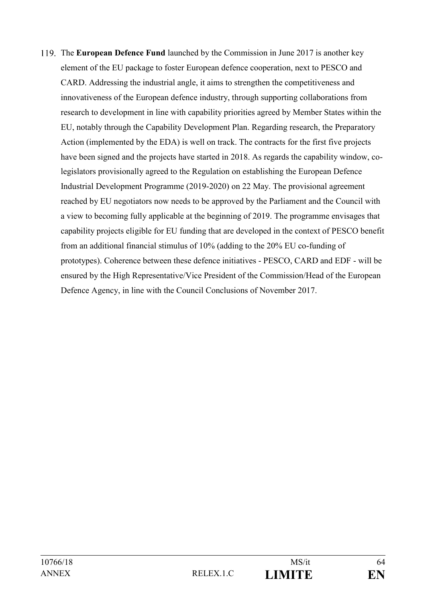The **European Defence Fund** launched by the Commission in June 2017 is another key element of the EU package to foster European defence cooperation, next to PESCO and CARD. Addressing the industrial angle, it aims to strengthen the competitiveness and innovativeness of the European defence industry, through supporting collaborations from research to development in line with capability priorities agreed by Member States within the EU, notably through the Capability Development Plan. Regarding research, the Preparatory Action (implemented by the EDA) is well on track. The contracts for the first five projects have been signed and the projects have started in 2018. As regards the capability window, colegislators provisionally agreed to the Regulation on establishing the European Defence Industrial Development Programme (2019-2020) on 22 May. The provisional agreement reached by EU negotiators now needs to be approved by the Parliament and the Council with a view to becoming fully applicable at the beginning of 2019. The programme envisages that capability projects eligible for EU funding that are developed in the context of PESCO benefit from an additional financial stimulus of 10% (adding to the 20% EU co-funding of prototypes). Coherence between these defence initiatives - PESCO, CARD and EDF - will be ensured by the High Representative/Vice President of the Commission/Head of the European Defence Agency, in line with the Council Conclusions of November 2017.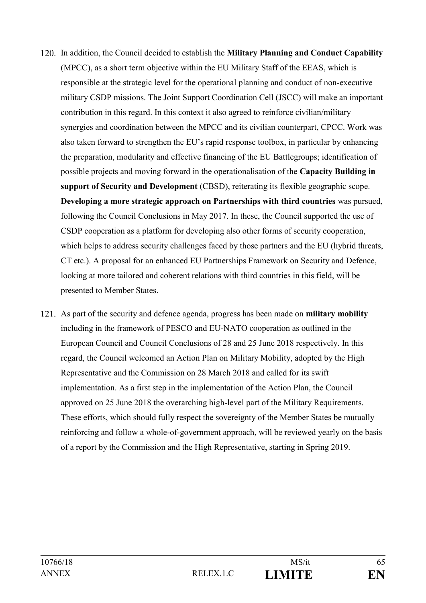- 120. In addition, the Council decided to establish the **Military Planning and Conduct Capability** (MPCC), as a short term objective within the EU Military Staff of the EEAS, which is responsible at the strategic level for the operational planning and conduct of non-executive military CSDP missions. The Joint Support Coordination Cell (JSCC) will make an important contribution in this regard. In this context it also agreed to reinforce civilian/military synergies and coordination between the MPCC and its civilian counterpart, CPCC. Work was also taken forward to strengthen the EU's rapid response toolbox, in particular by enhancing the preparation, modularity and effective financing of the EU Battlegroups; identification of possible projects and moving forward in the operationalisation of the **Capacity Building in support of Security and Development** (CBSD), reiterating its flexible geographic scope. **Developing a more strategic approach on Partnerships with third countries** was pursued, following the Council Conclusions in May 2017. In these, the Council supported the use of CSDP cooperation as a platform for developing also other forms of security cooperation, which helps to address security challenges faced by those partners and the EU (hybrid threats, CT etc.). A proposal for an enhanced EU Partnerships Framework on Security and Defence, looking at more tailored and coherent relations with third countries in this field, will be presented to Member States.
- As part of the security and defence agenda, progress has been made on **military mobility** including in the framework of PESCO and EU-NATO cooperation as outlined in the European Council and Council Conclusions of 28 and 25 June 2018 respectively. In this regard, the Council welcomed an Action Plan on Military Mobility, adopted by the High Representative and the Commission on 28 March 2018 and called for its swift implementation. As a first step in the implementation of the Action Plan, the Council approved on 25 June 2018 the overarching high-level part of the Military Requirements. These efforts, which should fully respect the sovereignty of the Member States be mutually reinforcing and follow a whole-of-government approach, will be reviewed yearly on the basis of a report by the Commission and the High Representative, starting in Spring 2019.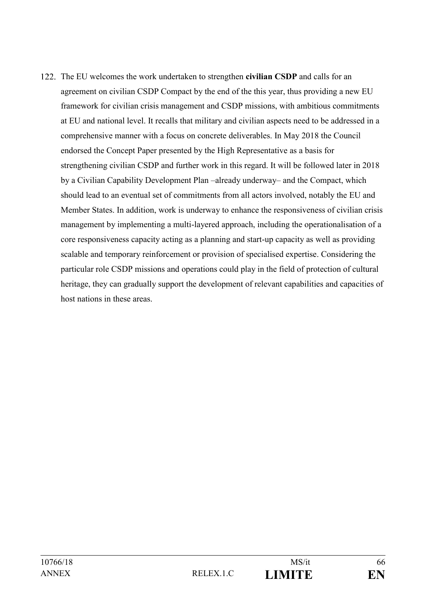The EU welcomes the work undertaken to strengthen **civilian CSDP** and calls for an agreement on civilian CSDP Compact by the end of the this year, thus providing a new EU framework for civilian crisis management and CSDP missions, with ambitious commitments at EU and national level. It recalls that military and civilian aspects need to be addressed in a comprehensive manner with a focus on concrete deliverables. In May 2018 the Council endorsed the Concept Paper presented by the High Representative as a basis for strengthening civilian CSDP and further work in this regard. It will be followed later in 2018 by a Civilian Capability Development Plan –already underway– and the Compact, which should lead to an eventual set of commitments from all actors involved, notably the EU and Member States. In addition, work is underway to enhance the responsiveness of civilian crisis management by implementing a multi-layered approach, including the operationalisation of a core responsiveness capacity acting as a planning and start-up capacity as well as providing scalable and temporary reinforcement or provision of specialised expertise. Considering the particular role CSDP missions and operations could play in the field of protection of cultural heritage, they can gradually support the development of relevant capabilities and capacities of host nations in these areas.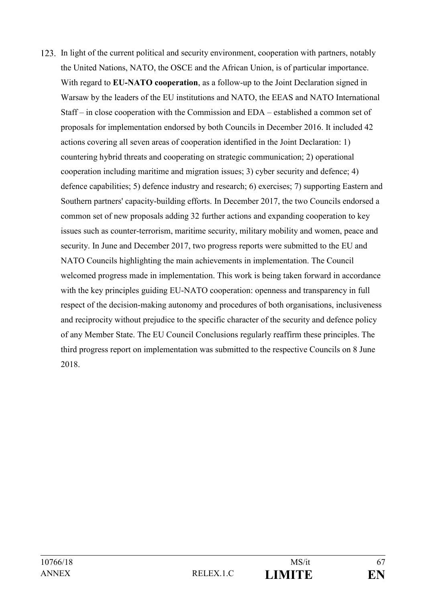123. In light of the current political and security environment, cooperation with partners, notably the United Nations, NATO, the OSCE and the African Union, is of particular importance. With regard to **EU-NATO cooperation**, as a follow-up to the Joint Declaration signed in Warsaw by the leaders of the EU institutions and NATO, the EEAS and NATO International Staff – in close cooperation with the Commission and EDA – established a common set of proposals for implementation endorsed by both Councils in December 2016. It included 42 actions covering all seven areas of cooperation identified in the Joint Declaration: 1) countering hybrid threats and cooperating on strategic communication; 2) operational cooperation including maritime and migration issues; 3) cyber security and defence; 4) defence capabilities; 5) defence industry and research; 6) exercises; 7) supporting Eastern and Southern partners' capacity-building efforts. In December 2017, the two Councils endorsed a common set of new proposals adding 32 further actions and expanding cooperation to key issues such as counter-terrorism, maritime security, military mobility and women, peace and security. In June and December 2017, two progress reports were submitted to the EU and NATO Councils highlighting the main achievements in implementation. The Council welcomed progress made in implementation. This work is being taken forward in accordance with the key principles guiding EU-NATO cooperation: openness and transparency in full respect of the decision-making autonomy and procedures of both organisations, inclusiveness and reciprocity without prejudice to the specific character of the security and defence policy of any Member State. The EU Council Conclusions regularly reaffirm these principles. The third progress report on implementation was submitted to the respective Councils on 8 June 2018.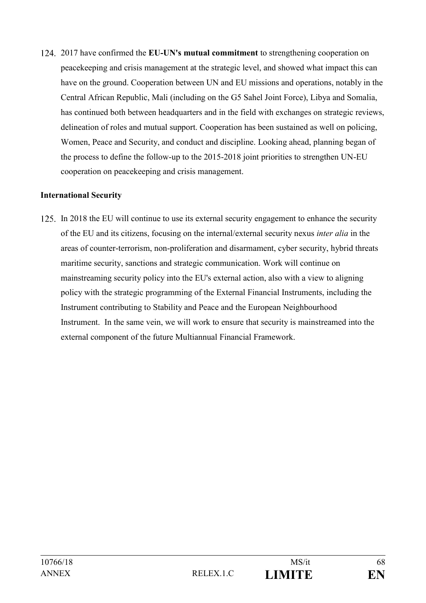2017 have confirmed the **EU-UN's mutual commitment** to strengthening cooperation on peacekeeping and crisis management at the strategic level, and showed what impact this can have on the ground. Cooperation between UN and EU missions and operations, notably in the Central African Republic, Mali (including on the G5 Sahel Joint Force), Libya and Somalia, has continued both between headquarters and in the field with exchanges on strategic reviews, delineation of roles and mutual support. Cooperation has been sustained as well on policing, Women, Peace and Security, and conduct and discipline. Looking ahead, planning began of the process to define the follow-up to the 2015-2018 joint priorities to strengthen UN-EU cooperation on peacekeeping and crisis management.

# **International Security**

In 2018 the EU will continue to use its external security engagement to enhance the security of the EU and its citizens, focusing on the internal/external security nexus *inter alia* in the areas of counter-terrorism, non-proliferation and disarmament, cyber security, hybrid threats maritime security, sanctions and strategic communication. Work will continue on mainstreaming security policy into the EU's external action, also with a view to aligning policy with the strategic programming of the External Financial Instruments, including the Instrument contributing to Stability and Peace and the European Neighbourhood Instrument. In the same vein, we will work to ensure that security is mainstreamed into the external component of the future Multiannual Financial Framework.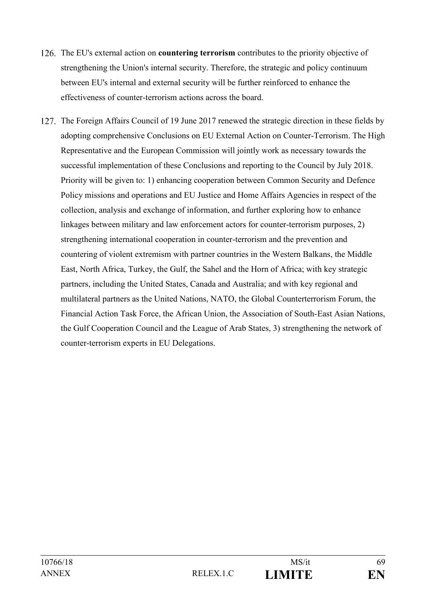- The EU's external action on **countering terrorism** contributes to the priority objective of strengthening the Union's internal security. Therefore, the strategic and policy continuum between EU's internal and external security will be further reinforced to enhance the effectiveness of counter-terrorism actions across the board.
- 127. The Foreign Affairs Council of 19 June 2017 renewed the strategic direction in these fields by adopting comprehensive Conclusions on EU External Action on Counter-Terrorism. The High Representative and the European Commission will jointly work as necessary towards the successful implementation of these Conclusions and reporting to the Council by July 2018. Priority will be given to: 1) enhancing cooperation between Common Security and Defence Policy missions and operations and EU Justice and Home Affairs Agencies in respect of the collection, analysis and exchange of information, and further exploring how to enhance linkages between military and law enforcement actors for counter-terrorism purposes, 2) strengthening international cooperation in counter-terrorism and the prevention and countering of violent extremism with partner countries in the Western Balkans, the Middle East, North Africa, Turkey, the Gulf, the Sahel and the Horn of Africa; with key strategic partners, including the United States, Canada and Australia; and with key regional and multilateral partners as the United Nations, NATO, the Global Counterterrorism Forum, the Financial Action Task Force, the African Union, the Association of South-East Asian Nations, the Gulf Cooperation Council and the League of Arab States, 3) strengthening the network of counter-terrorism experts in EU Delegations.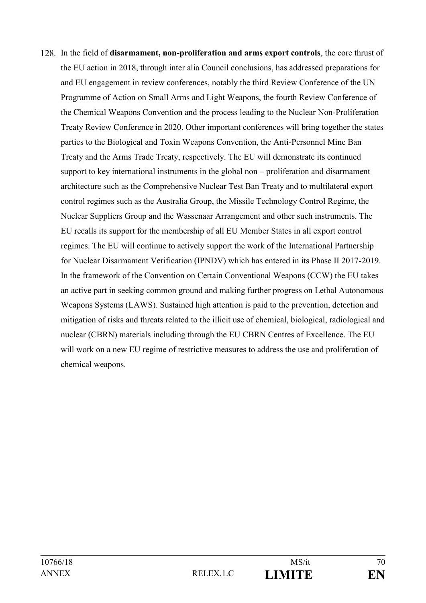In the field of **disarmament, non-proliferation and arms export controls**, the core thrust of the EU action in 2018, through inter alia Council conclusions, has addressed preparations for and EU engagement in review conferences, notably the third Review Conference of the UN Programme of Action on Small Arms and Light Weapons, the fourth Review Conference of the Chemical Weapons Convention and the process leading to the Nuclear Non-Proliferation Treaty Review Conference in 2020. Other important conferences will bring together the states parties to the Biological and Toxin Weapons Convention, the Anti-Personnel Mine Ban Treaty and the Arms Trade Treaty, respectively. The EU will demonstrate its continued support to key international instruments in the global non – proliferation and disarmament architecture such as the Comprehensive Nuclear Test Ban Treaty and to multilateral export control regimes such as the Australia Group, the Missile Technology Control Regime, the Nuclear Suppliers Group and the Wassenaar Arrangement and other such instruments. The EU recalls its support for the membership of all EU Member States in all export control regimes. The EU will continue to actively support the work of the International Partnership for Nuclear Disarmament Verification (IPNDV) which has entered in its Phase II 2017-2019. In the framework of the Convention on Certain Conventional Weapons (CCW) the EU takes an active part in seeking common ground and making further progress on Lethal Autonomous Weapons Systems (LAWS). Sustained high attention is paid to the prevention, detection and mitigation of risks and threats related to the illicit use of chemical, biological, radiological and nuclear (CBRN) materials including through the EU CBRN Centres of Excellence. The EU will work on a new EU regime of restrictive measures to address the use and proliferation of chemical weapons.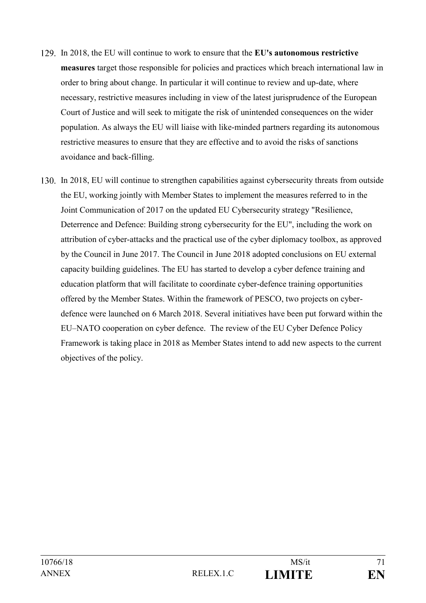- In 2018, the EU will continue to work to ensure that the **EU's autonomous restrictive measures** target those responsible for policies and practices which breach international law in order to bring about change. In particular it will continue to review and up-date, where necessary, restrictive measures including in view of the latest jurisprudence of the European Court of Justice and will seek to mitigate the risk of unintended consequences on the wider population. As always the EU will liaise with like-minded partners regarding its autonomous restrictive measures to ensure that they are effective and to avoid the risks of sanctions avoidance and back-filling.
- In 2018, EU will continue to strengthen capabilities against cybersecurity threats from outside the EU, working jointly with Member States to implement the measures referred to in the Joint Communication of 2017 on the updated EU Cybersecurity strategy "Resilience, Deterrence and Defence: Building strong cybersecurity for the EU", including the work on attribution of cyber-attacks and the practical use of the cyber diplomacy toolbox, as approved by the Council in June 2017. The Council in June 2018 adopted conclusions on EU external capacity building guidelines. The EU has started to develop a cyber defence training and education platform that will facilitate to coordinate cyber-defence training opportunities offered by the Member States. Within the framework of PESCO, two projects on cyberdefence were launched on 6 March 2018. Several initiatives have been put forward within the EU–NATO cooperation on cyber defence. The review of the EU Cyber Defence Policy Framework is taking place in 2018 as Member States intend to add new aspects to the current objectives of the policy.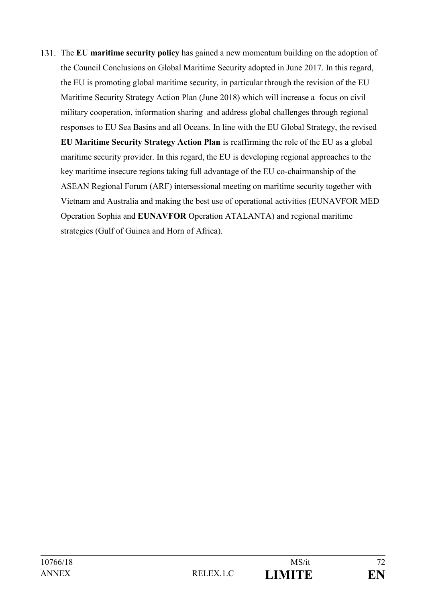The **EU maritime security policy** has gained a new momentum building on the adoption of the Council Conclusions on Global Maritime Security adopted in June 2017. In this regard, the EU is promoting global maritime security, in particular through the revision of the EU Maritime Security Strategy Action Plan (June 2018) which will increase a focus on civil military cooperation, information sharing and address global challenges through regional responses to EU Sea Basins and all Oceans. In line with the EU Global Strategy, the revised **EU Maritime Security Strategy Action Plan** is reaffirming the role of the EU as a global maritime security provider. In this regard, the EU is developing regional approaches to the key maritime insecure regions taking full advantage of the EU co-chairmanship of the ASEAN Regional Forum (ARF) intersessional meeting on maritime security together with Vietnam and Australia and making the best use of operational activities (EUNAVFOR MED Operation Sophia and **EUNAVFOR** Operation ATALANTA) and regional maritime strategies (Gulf of Guinea and Horn of Africa).